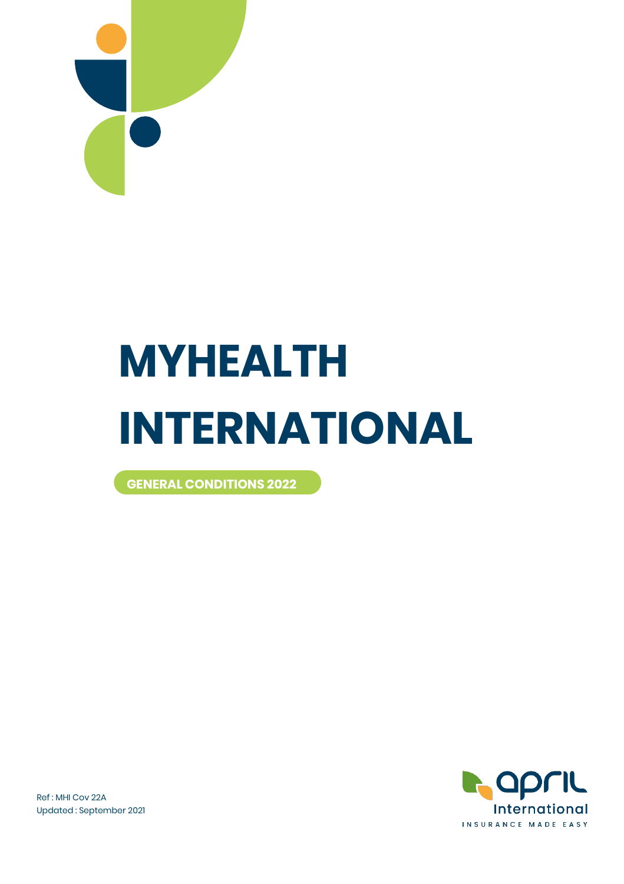

# **MYHEALTH INTERNATIONAL**

**GENERAL CONDITIONS 2022**



Ref : MHI Cov 22A Updated : September 2021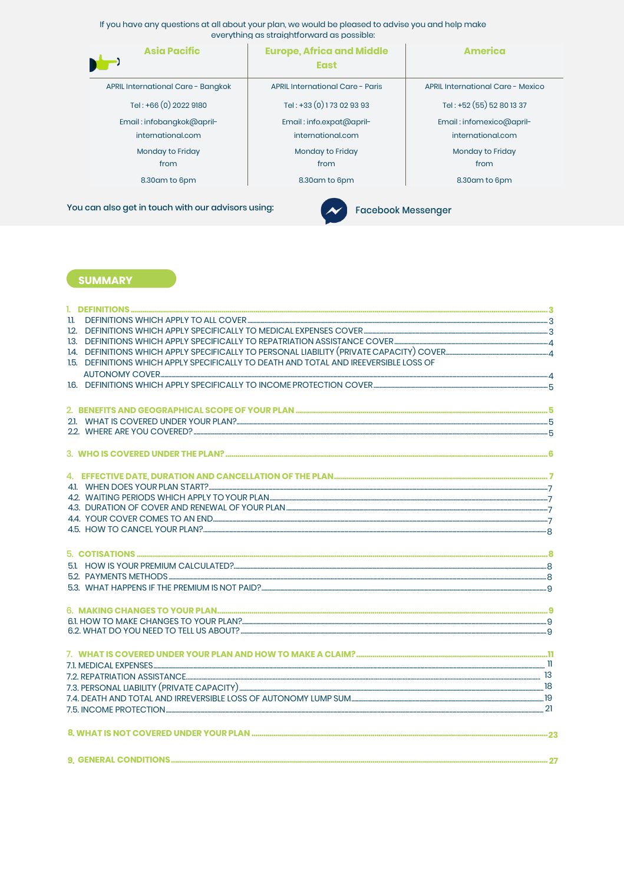If you have any questions at all about your plan, we would be pleased to advise you and help make everything as straightforward as possible:

| <b>Asia Pacific</b>                | <b>Europe, Africa and Middle</b><br><b>East</b> | <b>America</b>                    |
|------------------------------------|-------------------------------------------------|-----------------------------------|
| APRIL International Care - Bangkok | APRIL International Care - Paris                | APRIL International Care - Mexico |
| Tel: +66 (0) 2022 9180             | Tel: +33 (0) 173 02 93 93                       | Tel: +52 (55) 52 80 13 37         |
| Email: infobangkok@april-          | Email: info.expat@april-                        | Email: infomexico@april-          |
| international.com                  | international.com                               | international.com                 |
| Monday to Friday                   | Monday to Friday                                | Monday to Friday                  |
| from                               | from                                            | from                              |
| 8.30am to 6pm                      | 8.30am to 6pm                                   | 8.30am to 6pm                     |

You can also get in touch with our advisors using:

 $\boldsymbol{\mathcal{N}}$ 

**Facebook Messenger** 

**SUMMARY** 

| 1. DEFINITIONS WHICH APPLY TO ALL COVER <u>External and the comparison of the set of set and</u> a set of the control of the control of the set of the set of the set of the set of the set of the set of the set of the set of the |  |
|-------------------------------------------------------------------------------------------------------------------------------------------------------------------------------------------------------------------------------------|--|
|                                                                                                                                                                                                                                     |  |
|                                                                                                                                                                                                                                     |  |
| 1.4. DEFINITIONS WHICH APPLY SPECIFICALLY TO PERSONAL LIABILITY (PRIVATE CAPACITY) COVER 14                                                                                                                                         |  |
| 1.5. DEFINITIONS WHICH APPLY SPECIFICALLY TO DEATH AND TOTAL AND IREEVERSIBLE LOSS OF                                                                                                                                               |  |
|                                                                                                                                                                                                                                     |  |
|                                                                                                                                                                                                                                     |  |
|                                                                                                                                                                                                                                     |  |
|                                                                                                                                                                                                                                     |  |
|                                                                                                                                                                                                                                     |  |
|                                                                                                                                                                                                                                     |  |
|                                                                                                                                                                                                                                     |  |
|                                                                                                                                                                                                                                     |  |
|                                                                                                                                                                                                                                     |  |
|                                                                                                                                                                                                                                     |  |
|                                                                                                                                                                                                                                     |  |
| 4.4. YOUR COVER COMES TO AN END                                                                                                                                                                                                     |  |
| 45. HOW TO CANCEL YOUR PLAN? 45. HOW TO CANCEL YOUR PLAN?                                                                                                                                                                           |  |
|                                                                                                                                                                                                                                     |  |
|                                                                                                                                                                                                                                     |  |
|                                                                                                                                                                                                                                     |  |
|                                                                                                                                                                                                                                     |  |
| 53. WHAT HAPPENS IF THE PREMIUM IS NOT PAID?                                                                                                                                                                                        |  |
|                                                                                                                                                                                                                                     |  |
| 6. HOW TO MAKE CHANGES TO YOUR PLAN? CONTRACT AND TO A SAFETY A SUBSEX OF THE SUBSEX OF PLANS OF PLANS OF THE SUBSEX OF SUBSEXUAL SERVICES TO YOUR PLANS.                                                                           |  |
|                                                                                                                                                                                                                                     |  |
|                                                                                                                                                                                                                                     |  |
|                                                                                                                                                                                                                                     |  |
|                                                                                                                                                                                                                                     |  |
|                                                                                                                                                                                                                                     |  |
|                                                                                                                                                                                                                                     |  |
|                                                                                                                                                                                                                                     |  |
|                                                                                                                                                                                                                                     |  |
|                                                                                                                                                                                                                                     |  |
|                                                                                                                                                                                                                                     |  |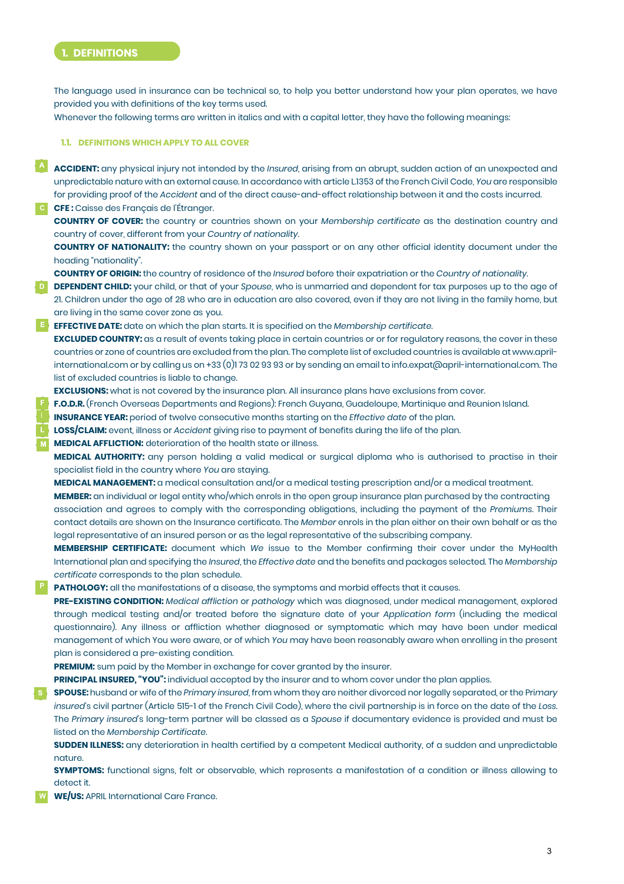The language used in insurance can be technical so, to help you better understand how your plan operates, we have provided you with definitions of the key terms used.

Whenever the following terms are written in italics and with a capital letter, they have the following meanings:

#### **1.1. DEFINITIONS WHICH APPLY TO ALL COVER**

<span id="page-2-0"></span>**ACCIDENT:** any physical injury not intended by the *Insured*, arising from an abrupt, sudden action of an unexpected and unpredictable nature with an external cause. In accordance with article L.1353 of the French Civil Code, *You* are responsible for providing proof of the *Accident* and of the direct cause-and-effect relationship between it and the costs incurred. **CFE :** Caisse des Français de l'Étranger. **C**

**COUNTRY OF COVER:** the country or countries shown on your *Membership certificate* as the destination country and country of cover, different from your *Country of nationality.*

**COUNTRY OF NATIONALITY:** the country shown on your passport or on any other official identity document under the heading "nationality".

**COUNTRY OF ORIGIN:** the country of residence of the *Insured* before their expatriation or the *Country of nationality*.

- **DEPENDENT CHILD:** your child, or that of your *Spouse*, who is unmarried and dependent for tax purposes up to the age of 21. Children under the age of 28 who are in education are also covered, even if they are not living in the family home, but are living in the same cover zone as you.
- **E EFFECTIVE DATE:** date on which the plan starts. It is specified on the *Membership certificate*.

**EXCLUDED COUNTRY:** as a result of events taking place in certain countries or or for regulatory reasons, the cover in these countries or zone of countries are excluded from the plan. The complete list of excluded countries is available a[t www.april](http://www.april-international.com/)[international.com o](http://www.april-international.com/)r by calling us on +33 (0)1 73 02 93 93 or by sending an email t[o info.expat@april-international.com. T](mailto:info.expat@april-international.com)he list of excluded countries is liable to change.

**EXCLUSIONS:** what is not covered by the insurance plan. All insurance plans have exclusions from cover.

**F.O.D.R.** (French Overseas Departments and Regions): French Guyana, Guadeloupe, Martinique and Reunion Island.

**INSURANCE YEAR:** period of twelve consecutive months starting on the *Effective date* of the plan.

- **LOSS/CLAIM:** event, illness or *Accident* giving rise to payment of benefits during the life of the plan.
- **MEDICAL AFFLICTION:** deterioration of the health state or illness.

**MEDICAL AUTHORITY:** any person holding a valid medical or surgical diploma who is authorised to practise in their specialist field in the country where *You* are staying.

**MEDICAL MANAGEMENT:** a medical consultation and/or a medical testing prescription and/or a medical treatment. **MEMBER:** an individual or legal entity who/which enrols in the open group insurance plan purchased by the contracting association and agrees to comply with the corresponding obligations, including the payment of the *Premiums*. Their contact details are shown on the Insurance certificate. The *Member* enrols in the plan either on their own behalf or as the legal representative of an insured person or as the legal representative of the subscribing company.

**MEMBERSHIP CERTIFICATE:** document which *We* issue to the Member confirming their cover under the MyHealth International plan and specifying the *Insured*, the *Effective date* and the benefits and packages selected. The *Membership certificate* corresponds to the plan schedule.

**PATHOLOGY:** all the manifestations of a disease, the symptoms and morbid effects that it causes. **P**

**PRE-EXISTING CONDITION:** *Medical affliction* or *pathology* which was diagnosed, under medical management, explored through medical testing and/or treated before the signature date of your *Application form* (including the medical questionnaire). Any illness or affliction whether diagnosed or symptomatic which may have been under medical management of which You were aware, or of which *You* may have been reasonably aware when enrolling in the present plan is considered a pre-existing condition.

**PREMIUM:** sum paid by the Member in exchange for cover granted by the insurer.

**PRINCIPAL INSURED, "YOU":** individual accepted by the insurer and to whom cover under the plan applies.

**SPOUSE:** husband or wife of the *Primary insured*, from whom they are neither divorced nor legally separated, or the Pri*mary insured*'s civil partner (Article 515-1 of the French Civil Code), where the civil partnership is in force on the date of the *Loss*. The *Primary insured*'s long-term partner will be classed as a *Spouse* if documentary evidence is provided and must be listed on the *Membership Certificate*.

**SUDDEN ILLNESS:** any deterioration in health certified by a competent Medical authority, of a sudden and unpredictable nature.

**SYMPTOMS:** functional signs, felt or observable, which represents a manifestation of a condition or illness allowing to detect it.

**WE/US:** APRIL International Care France.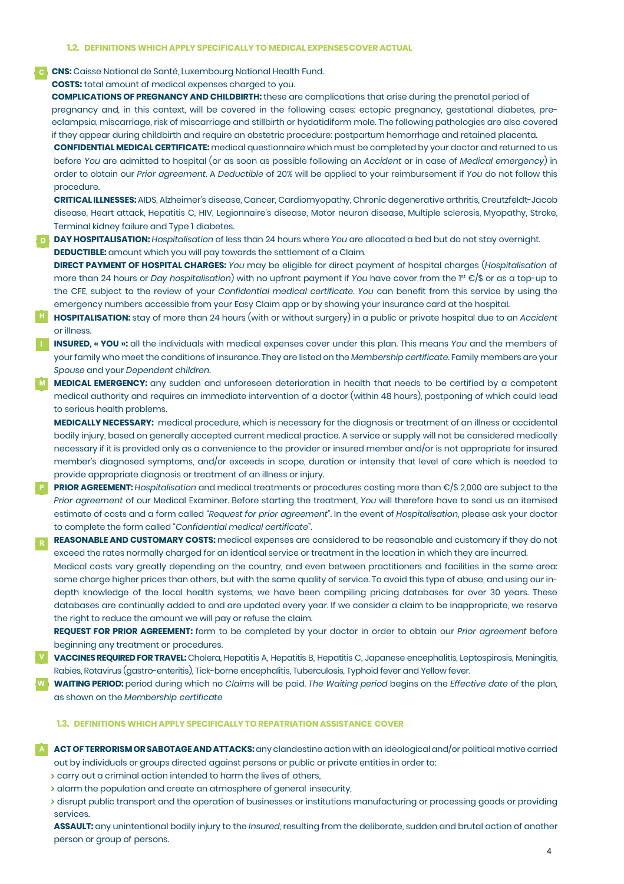**CNS:** Caisse National de Santé, Luxembourg National Health Fund.

**COSTS:** total amount of medical expenses charged to you.

**COMPLICATIONS OF PREGNANCY AND CHILDBIRTH:** these are complications that arise during the prenatal period of pregnancy and, in this context, will be covered in the following cases: ectopic pregnancy, gestational diabetes, preeclampsia, miscarriage, risk of miscarriage and stillbirth or hydatidiform mole. The following pathologies are also covered if they appear during childbirth and require an obstetric procedure: postpartum hemorrhage and retained placenta. **CONFIDENTIAL MEDICAL CERTIFICATE:** medical questionnaire which must be completed by your doctor and returned to us before *You* are admitted to hospital (or as soon as possible following an *Accident* or in case of *Medical emergency*) in order to obtain our *Prior agreement*. A *Deductible* of 20% will be applied to your reimbursement if *You* do not follow this procedure.

**CRITICAL ILLNESSES:** AIDS, Alzheimer's disease, Cancer, Cardiomyopathy, Chronic degenerative arthritis, Creutzfeldt-Jacob disease, Heart attack, Hepatitis C, HIV, Legionnaire's disease, Motor neuron disease, Multiple sclerosis, Myopathy, Stroke, Terminal kidney failure and Type 1 diabetes.

**DRY HOSPITALISATION:** *Hospitalisation* of less than 24 hours where *You* are allocated a bed but do not stay overnight. **DEDUCTIBLE:** amount which you will pay towards the settlement of a Claim.

**DIRECT PAYMENT OF HOSPITAL CHARGES:** *You* may be eligible for direct payment of hospital charges (*Hospitalisation* of more than 24 hours or *Day hospitalisation*) with no upfront payment if *You* have cover from the 1st €/\$ or as a top-up to the CFE, subject to the review of your *Confidential medical certificate*. *You* can benefit from this service by using the emergency numbers accessible from your Easy Claim app or by showing your insurance card at the hospital.

**HOSPITALISATION:** stay of more than 24 hours (with or without surgery) in a public or private hospital due to an *Accident*  or illness.

- **INSURED, « YOU »:** all the individuals with medical expenses cover under this plan. This means *You* and the members of your family who meet the conditions of insurance. They are listed on the *Membership certificate*. Family members are your *Spouse* and your *Dependent children*.
- **MEDICAL EMERGENCY:** any sudden and unforeseen deterioration in health that needs to be certified by a competent medical authority and requires an immediate intervention of a doctor (within 48 hours), postponing of which could lead to serious health problems.

**MEDICALLY NECESSARY:** medical procedure, which is necessary for the diagnosis or treatment of an illness or accidental bodily injury, based on generally accepted current medical practice. A service or supply will not be considered medically necessary if it is provided only as a convenience to the provider or insured member and/or is not appropriate for insured member's diagnosed symptoms, and/or exceeds in scope, duration or intensity that level of care which is needed to provide appropriate diagnosis or treatment of an illness or injury.

**PRIOR AGREEMENT:** *Hospitalisation* and medical treatments or procedures costing more than €/\$ 2,000 are subject to the *Prior agreement* of our Medical Examiner. Before starting the treatment, *You* will therefore have to send us an itemised estimate of costs and a form called "*Request for prior agreement*". In the event of *Hospitalisation*, please ask your doctor to complete the form called "*Confidential medical certificate*".

**REASONABLE AND CUSTOMARY COSTS:** medical expenses are considered to be reasonable and customary if they do not exceed the rates normally charged for an identical service or treatment in the location in which they are incurred. Medical costs vary greatly depending on the country, and even between practitioners and facilities in the same area: some charge higher prices than others, but with the same quality of service. To avoid this type of abuse, and using our indepth knowledge of the local health systems, we have been compiling pricing databases for over 30 years. These databases are continually added to and are updated every year. If we consider a claim to be inappropriate, we reserve the right to reduce the amount we will pay or refuse the claim.

**REQUEST FOR PRIOR AGREEMENT:** form to be completed by your doctor in order to obtain our *Prior agreement* before beginning any treatment or procedures.

- **VACCINES REQUIRED FOR TRAVEL:** Cholera, Hepatitis A, Hepatitis B, Hepatitis C, Japanese encephalitis, Leptospirosis, Meningitis, Rabies, Rotavirus (gastro-enteritis), Tick-borne encephalitis, Tuberculosis, Typhoid fever and Yellow fever.
- **WAITING PERIOD:** period during which no *Claims* will be paid. *The Waiting period* begins on the *Effective date* of the plan, as shown on the *Membership certificate*

#### **1.3. DEFINITIONS WHICH APPLY SPECIFICALLY TO REPATRIATION ASSISTANCE COVER**

- **ACT OF TERRORISM OR SABOTAGE AND ATTACKS:** any clandestine action with an ideological and/or political motive carried out by individuals or groups directed against persons or public or private entities in order to:
	- **>** carry out a criminal action intended to harm the lives of others,
	- **>** alarm the population and create an atmosphere of general insecurity,
	- **>** disrupt public transport and the operation of businesses or institutions manufacturing or processing goods or providing services.

**ASSAULT:** any unintentional bodily injury to the *Insured*, resulting from the deliberate, sudden and brutal action of another person or group of persons.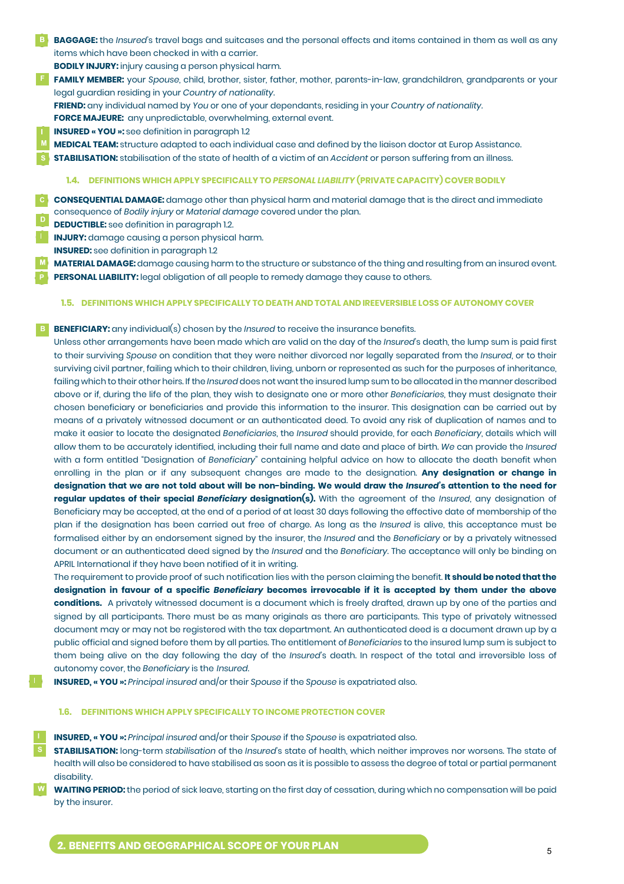**BAGGAGE:** the *Insured*'s travel bags and suitcases and the personal effects and items contained in them as well as any items which have been checked in with a carrier.

**BODILY INJURY:** injury causing a person physical harm.

**FAMILY MEMBER:** your *Spouse*, child, brother, sister, father, mother, parents-in-law, grandchildren, grandparents or your legal guardian residing in your *Country of nationality*. **F**

**FRIEND:** any individual named by *You* or one of your dependants, residing in your *Country of nationality.*

**FORCE MAJEURE:** any unpredictable, overwhelming, external event.

**INSURED « YOU »:** see definition in paragraph 1.2

**MEDICAL TEAM:** structure adapted to each individual case and defined by the liaison doctor at Europ Assistance.

**STABILISATION:** stabilisation of the state of health of a victim of an *Accident* or person suffering from an illness.

#### **1.4. DEFINITIONS WHICH APPLY SPECIFICALLY TO** *PERSONAL LIABILITY* **(PRIVATE CAPACITY) COVER BODILY**

- **CONSEQUENTIAL DAMAGE:** damage other than physical harm and material damage that is the direct and immediate consequence of *Bodily injury* or *Material damage* covered under the plan.
- **DEDUCTIBLE:** see definition in paragraph 1.2.
- **INJURY:** damage causing a person physical harm.
- **INSURED:** see definition in paragraph 1.2

**MATERIAL DAMAGE:** damage causing harm to the structure or substance of the thing and resulting from an insured event. **PERSONAL LIABILITY:** legal obligation of all people to remedy damage they cause to others.

#### **1.5. DEFINITIONS WHICH APPLY SPECIFICALLY TO DEATH AND TOTAL AND IREEVERSIBLE LOSS OF AUTONOMY COVER**

**BENEFICIARY:** any individual(s) chosen by the *Insured* to receive the insurance benefits. **B**

Unless other arrangements have been made which are valid on the day of the *Insured*'s death, the lump sum is paid first to their surviving *Spouse* on condition that they were neither divorced nor legally separated from the *Insured*, or to their surviving civil partner, failing which to their children, living, unborn or represented as such for the purposes of inheritance, failing which to their other heirs. If the *Insured* does not want the insured lump sum to be allocated in the manner described above or if, during the life of the plan, they wish to designate one or more other *Beneficiaries*, they must designate their chosen beneficiary or beneficiaries and provide this information to the insurer. This designation can be carried out by means of a privately witnessed document or an authenticated deed. To avoid any risk of duplication of names and to make it easier to locate the designated *Beneficiaries*, the *Insured* should provide, for each *Beneficiary*, details which will allow them to be accurately identified, including their full name and date and place of birth. *We* can provide the *Insured*  with a form entitled "Designation of *Beneficiary*" containing helpful advice on how to allocate the death benefit when enrolling in the plan or if any subsequent changes are made to the designation. **Any designation or change in designation that we are not told about will be non-binding. We would draw the** *Insured***'s attention to the need for regular updates of their special** *Beneficiary* **designation(s).** With the agreement of the *Insured*, any designation of Beneficiary may be accepted, at the end of a period of at least 30 days following the effective date of membership of the plan if the designation has been carried out free of charge. As long as the *Insured* is alive, this acceptance must be formalised either by an endorsement signed by the insurer, the *Insured* and the *Beneficiary* or by a privately witnessed document or an authenticated deed signed by the *Insured* and the *Beneficiary*. The acceptance will only be binding on APRIL International if they have been notified of it in writing.

The requirement to provide proof of such notification lies with the person claiming the benefit. **It should be noted that the designation in favour of a specific** *Beneficiary* **becomes irrevocable if it is accepted by them under the above conditions.** A privately witnessed document is a document which is freely drafted, drawn up by one of the parties and signed by all participants. There must be as many originals as there are participants. This type of privately witnessed document may or may not be registered with the tax department. An authenticated deed is a document drawn up by a public official and signed before them by all parties. The entitlement of *Beneficiaries* to the insured lump sum is subject to them being alive on the day following the day of the *Insured*'s death. In respect of the total and irreversible loss of autonomy cover, the *Beneficiary* is the *Insured*.

<span id="page-4-0"></span>**INSURED, « YOU »:** *Principal insured* and/or their *Spouse* if the *Spouse* is expatriated also.

#### **1.6. DEFINITIONS WHICH APPLY SPECIFICALLY TO INCOME PROTECTION COVER**

- **INSURED, « YOU »:** *Principal insured* and/or their *Spouse* if the *Spouse* is expatriated also.
- **STABILISATION:** long-term *stabilisation* of the *Insured*'s state of health, which neither improves nor worsens. The state of health will also be considered to have stabilised as soon as it is possible to assess the degree of total or partial permanent disability.
- **WAITING PERIOD:** the period of sick leave, starting on the first day of cessation, during which no compensation will be paid by the insurer.

**I S**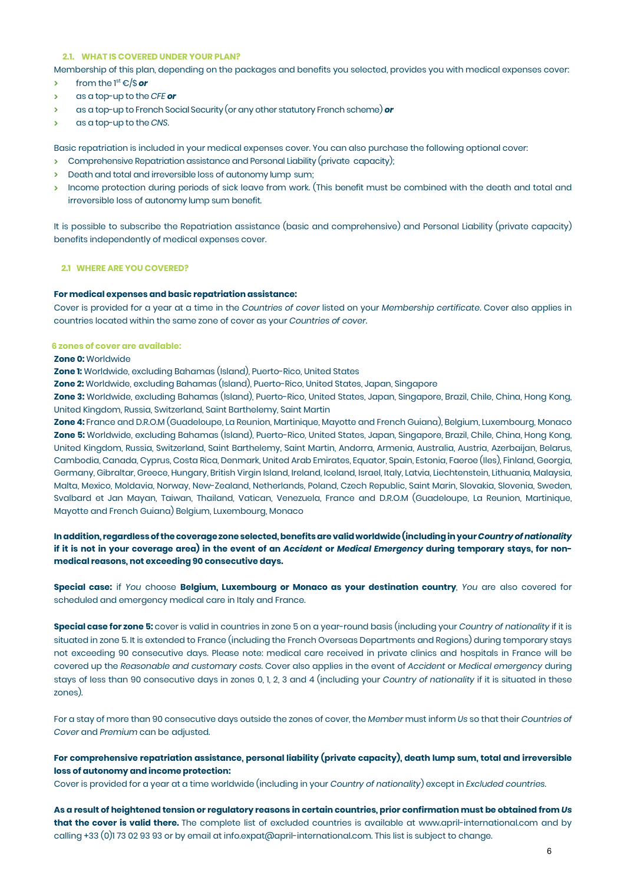#### **2.1. WHAT IS COVERED UNDER YOUR PLAN?**

Membership of this plan, depending on the packages and benefits you selected, provides you with medical expenses cover:

- **>** from the 1st €/\$ *or*
- **>** as a top-up to the *CFE or*
- **>** as a top-up to French Social Security (or any other statutory French scheme) *or*
- **>** as a top-up to the *CNS*.

Basic repatriation is included in your medical expenses cover. You can also purchase the following optional cover:

- **>** Comprehensive Repatriation assistance and Personal Liability (private capacity);
- **>** Death and total and irreversible loss of autonomy lump sum;
- **>** Income protection during periods of sick leave from work. (This benefit must be combined with the death and total and irreversible loss of autonomy lump sum benefit.

It is possible to subscribe the Repatriation assistance (basic and comprehensive) and Personal Liability (private capacity) benefits independently of medical expenses cover.

#### **2.1 WHERE ARE YOU COVERED?**

#### **For medical expenses and basic repatriation assistance:**

Cover is provided for a year at a time in the *Countries of cover* listed on your *Membership certificate*. Cover also applies in countries located within the same zone of cover as your *Countries of cover*.

#### **6 zones of cover are available:**

#### **Zone 0:** Worldwide

**Zone 1:** Worldwide, excluding Bahamas (Island), Puerto-Rico, United States

**Zone 2:** Worldwide, excluding Bahamas (Island), Puerto-Rico, United States, Japan, Singapore

**Zone 3:** Worldwide, excluding Bahamas (Island), Puerto-Rico, United States, Japan, Singapore, Brazil, Chile, China, Hong Kong, United Kingdom, Russia, Switzerland, Saint Barthelemy, Saint Martin

**Zone 4:** France and D.R.O.M (Guadeloupe, La Reunion, Martinique, Mayotte and French Guiana), Belgium, Luxembourg, Monaco **Zone 5:** Worldwide, excluding Bahamas (Island), Puerto-Rico, United States, Japan, Singapore, Brazil, Chile, China, Hong Kong, United Kingdom, Russia, Switzerland, Saint Barthelemy, Saint Martin, Andorra, Armenia, Australia, Austria, Azerbaijan, Belarus, Cambodia, Canada, Cyprus, Costa Rica, Denmark, United Arab Emirates, Equator, Spain, Estonia, Faeroe (Iles), Finland, Georgia, Germany, Gibraltar, Greece, Hungary, British Virgin Island, Ireland, Iceland, Israel, Italy, Latvia, Liechtenstein, Lithuania, Malaysia, Malta, Mexico, Moldavia, Norway, New-Zealand, Netherlands, Poland, Czech Republic, Saint Marin, Slovakia, Slovenia, Sweden, Svalbard et Jan Mayan, Taiwan, Thailand, Vatican, Venezuela, France and D.R.O.M (Guadeloupe, La Reunion, Martinique, Mayotte and French Guiana) Belgium, Luxembourg, Monaco

#### **In addition, regardless of the coveragezone selected, benefits are valid worldwide (including in your** *Country of nationality*  **if it is not in your coverage area) in the event of an** *Accident* **or** *Medical Emergency* **during temporary stays, for nonmedical reasons, not exceeding 90 consecutive days.**

**Special case:** if *You* choose **Belgium, Luxembourg or Monaco as your destination country**, *You* are also covered for scheduled and emergency medical care in Italy and France.

**Special case for zone 5:** cover is valid in countries in zone 5 on a year-round basis (including your *Country of nationality* if it is situated in zone 5. It is extended to France (including the French Overseas Departments and Regions) during temporary stays not exceeding 90 consecutive days. Please note: medical care received in private clinics and hospitals in France will be covered up the *Reasonable and customary costs*. Cover also applies in the event of *Accident* or *Medical emergency* during stays of less than 90 consecutive days in zones 0, 1, 2, 3 and 4 (including your *Country of nationality* if it is situated in these zones).

For a stay of more than 90 consecutive days outside the zones of cover, the *Member* must inform *Us* so that their *Countries of Cover* and *Premium* can be adjusted.

**For comprehensive repatriation assistance, personal liability (private capacity), death lump sum, total and irreversible loss of autonomy and income protection:**

Cover is provided for a year at a time worldwide (including in your *Country of nationality*) except in *Excluded countries*.

**As a result of heightened tension or regulatory reasons in certain countries, prior confirmation must be obtained from** *Us*  **that the cover is valid there.** The complete list of excluded countries is available at [www.april-international.com a](http://www.april-international.com/)nd by calling +33 (0)1 73 02 93 93 or by email a[t info.expat@april-international.com. T](mailto:info.expat@april-international.com)his list is subject to change.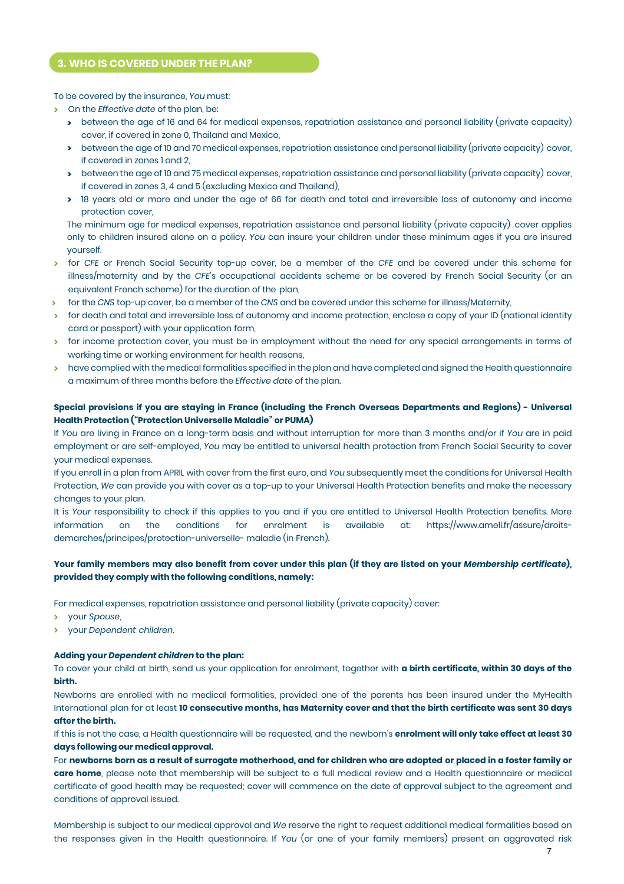#### **3. WHO IS COVERED UNDER THE PLAN?**

To be covered by the insurance, *You* must:

**>** On the *Effective date* of the plan, be:

- **>** between the age of 16 and 64 for medical expenses, repatriation assistance and personal liability (private capacity) cover, if covered in zone 0, Thailand and Mexico,
- **>** between the age of 10 and 70 medical expenses, repatriation assistance and personal liability (private capacity) cover, if covered in zones 1 and 2,
- **>** between the age of 10 and 75 medical expenses, repatriation assistance and personal liability (private capacity) cover, if covered in zones 3, 4 and 5 (excluding Mexico and Thailand),
- **>** 18 years old or more and under the age of 66 for death and total and irreversible loss of autonomy and income protection cover,

The minimum age for medical expenses, repatriation assistance and personal liability (private capacity) cover applies only to children insured alone on a policy. *You* can insure your children under these minimum ages if you are insured yourself.

- **>** for *CFE* or French Social Security top-up cover, be a member of the *CFE* and be covered under this scheme for illness/maternity and by the *CFE*'s occupational accidents scheme or be covered by French Social Security (or an equivalent French scheme) for the duration of the plan,
- **>** for the *CNS* top-up cover, be a member of the *CNS* and be covered under this scheme for illness/Maternity,
- **>** for death and total and irreversible loss of autonomy and income protection, enclose a copy of your ID (national identity card or passport) with your application form,
- **>** for income protection cover, you must be in employment without the need for any special arrangements in terms of working time or working environment for health reasons,
- **>** have complied with the medical formalities specified in the plan and have completed and signed the Health questionnaire a maximum of three months before the *Effective date* of the plan.

#### **Special provisions if you are staying in France (including the French Overseas Departments and Regions) - Universal Health Protection ("Protection Universelle Maladie" or PUMA)**

If *You* are living in France on a long-term basis and without interruption for more than 3 months and/or if *You* are in paid employment or are self-employed, *You* may be entitled to universal health protection from French Social Security to cover your medical expenses.

If you enroll in a plan from APRIL with cover from the first euro, and *You* subsequently meet the conditions for Universal Health Protection, *We* can provide you with cover as a top-up to your Universal Health Protection benefits and make the necessary changes to your plan.

It is *Your* responsibility to check if this applies to you and if you are entitled to Universal Health Protection benefits. More information on the conditions for enrolment is available at: https:/[/www.ameli.fr/assure/droits](http://www.ameli.fr/assure/droits-demarches/principes/protection-universelle-)[demarches/principes/protection-universelle-](http://www.ameli.fr/assure/droits-demarches/principes/protection-universelle-) maladie (in French).

#### **Your family members may also benefit from cover under this plan (if they are listed on your** *Membership certificate***), provided they comply with the following conditions, namely:**

For medical expenses, repatriation assistance and personal liability (private capacity) cover:

- **>** your *Spouse*,
- **>** your *Dependent children*.

#### **Adding your** *Dependent children* **to the plan:**

To cover your child at birth, send us your application for enrolment, together with **a birth certificate, within 30 days of the birth.** 

Newborns are enrolled with no medical formalities, provided one of the parents has been insured under the MyHealth International plan for at least **10 consecutive months, has Maternity cover and that the birth certificate was sent 30 days after the birth.** 

If this is not the case, a Health questionnaire will be requested, and the newborn's **enrolment will only take effect at least 30 days following our medical approval.**

For **newborns born as a result of surrogate motherhood, and for children who are adopted or placed in a foster family or care home**, please note that membership will be subject to a full medical review and a Health questionnaire or medical certificate of good health may be requested; cover will commence on the date of approval subject to the agreement and conditions of approval issued.

Membership is subject to our medical approval and *We* reserve the right to request additional medical formalities based on the responses given in the Health questionnaire. If *You* (or one of your family members) present an aggravated risk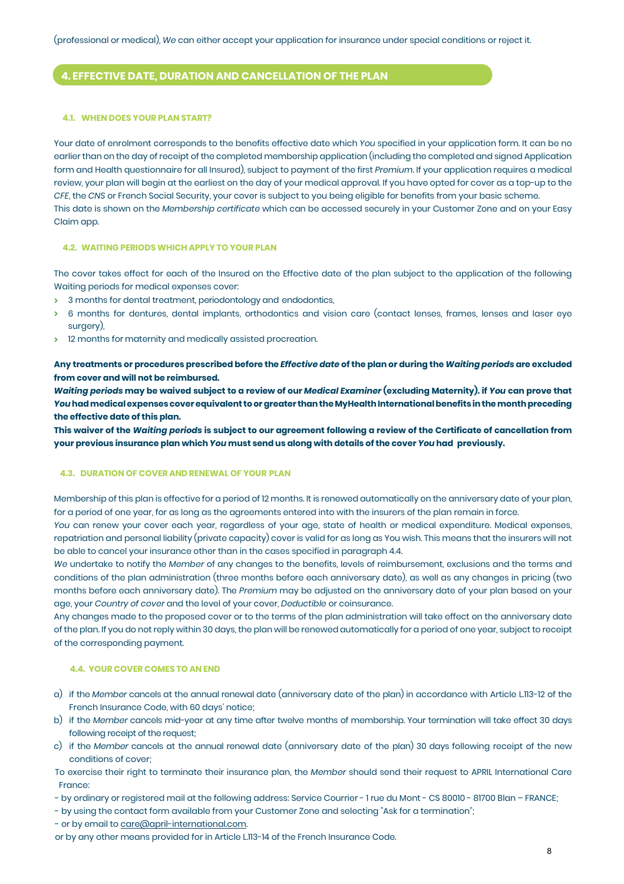#### **4. EFFECTIVE DATE, DURATION AND CANCELLATION OF THE PLAN**

#### <span id="page-7-0"></span>**4.1. WHEN DOES YOUR PLAN START?**

Your date of enrolment corresponds to the benefits effective date which *You* specified in your application form. It can be no earlier than on the day of receipt of the completed membership application (including the completed and signed Application form and Health questionnaire for all Insured), subject to payment of the first *Premium*. If your application requires a medical review, your plan will begin at the earliest on the day of your medical approval. If you have opted for cover as a top-up to the *CFE*, the *CNS* or French Social Security, your cover is subject to you being eligible for benefits from your basic scheme. This date is shown on the *Membership certificate* which can be accessed securely in your Customer Zone and on your Easy Claim app.

#### **4.2. WAITING PERIODS WHICH APPLY TO YOUR PLAN**

The cover takes effect for each of the Insured on the Effective date of the plan subject to the application of the following Waiting periods for medical expenses cover:

- **>** 3 months for dental treatment, periodontology and endodontics,
- **>** 6 months for dentures, dental implants, orthodontics and vision care (contact lenses, frames, lenses and laser eye surgery),
- **>** 12 months for maternity and medically assisted procreation.

**Any treatments or procedures prescribed before the** *Effective date* **of the plan or during the** *Waiting periods* **are excluded from cover and will not be reimbursed.**

*Waiting periods* **may be waived subject to a review of our** *Medical Examiner* **(excluding Maternity). if** *You* **can prove that**  *You* **had medical expenses cover equivalent to or greater than the MyHealth International benefits in the month preceding the effective date of this plan.**

**This waiver of the** *Waiting periods* **is subject to our agreement following a review of the Certificate of cancellation from your previous insurance plan which** *You* **must send us along with details of the cover** *You* **had previously.**

#### **4.3. DURATION OF COVER AND RENEWAL OF YOUR PLAN**

Membership of this plan is effective for a period of 12 months. It is renewed automatically on the anniversary date of your plan, for a period of one year, for as long as the agreements entered into with the insurers of the plan remain in force.

*You* can renew your cover each year, regardless of your age, state of health or medical expenditure. Medical expenses, repatriation and personal liability (private capacity) cover is valid for as long as You wish. This means that the insurers will not be able to cancel your insurance other than in the cases specified in paragraph 4.4.

*We* undertake to notify the *Member* of any changes to the benefits, levels of reimbursement, exclusions and the terms and conditions of the plan administration (three months before each anniversary date), as well as any changes in pricing (two months before each anniversary date). The *Premium* may be adjusted on the anniversary date of your plan based on your age, your *Country of cover* and the level of your cover, *Deductible* or coinsurance.

Any changes made to the proposed cover or to the terms of the plan administration will take effect on the anniversary date of the plan. If you do not reply within 30 days, the plan will be renewed automatically for a period of one year, subject to receipt of the corresponding payment.

#### **4.4. YOUR COVER COMES TO AN END**

- a) if the *Member* cancels at the annual renewal date (anniversary date of the plan) in accordance with Article L.113-12 of the French Insurance Code, with 60 days' notice;
- b) if the *Member* cancels mid-year at any time after twelve months of membership. Your termination will take effect 30 days following receipt of the request;
- c) if the *Member* cancels at the annual renewal date (anniversary date of the plan) 30 days following receipt of the new conditions of cover;

To exercise their right to terminate their insurance plan, the *Member* should send their request to APRIL International Care France:

- by ordinary or registered mail at the following address: Service Courrier 1 rue du Mont CS 80010 81700 Blan FRANCE;
- by using the contact form available from your Customer Zone and selecting "Ask for a termination";
- or by email t[o care@april-international.com.](mailto:care@april-international.com)
- or by any other means provided for in Article L.113-14 of the French Insurance Code.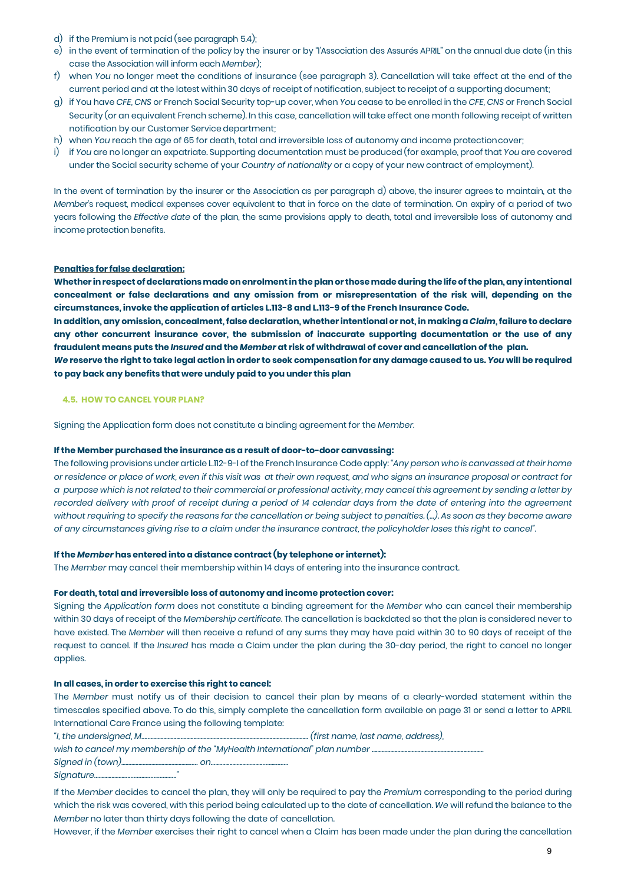- d) if the Premium is not paid (see paragraph 5.4);
- e) in the event of termination of the policy by the insurer or by "l'Association des Assurés APRIL" on the annual due date (in this case the Association will inform each *Member*);
- f) when *You* no longer meet the conditions of insurance (see paragraph 3). Cancellation will take effect at the end of the current period and at the latest within 30 days of receipt of notification, subject to receipt of a supporting document;
- g) if You have *CFE, CNS* or French Social Security top-up cover, when *You* cease to be enrolled in the *CFE, CNS* or French Social Security (or an equivalent French scheme). In this case, cancellation will take effect one month following receipt of written notification by our Customer Servicedepartment;
- h) when *You* reach the age of 65 for death, total and irreversible loss of autonomy and income protectioncover;
- i) if *You* are no longer an expatriate. Supporting documentation must be produced (for example, proof that *You* are covered under the Social security scheme of your *Country of nationality* or a copy of your new contract of employment).

In the event of termination by the insurer or the Association as per paragraph d) above, the insurer agrees to maintain, at the *Member*'s request, medical expenses cover equivalent to that in force on the date of termination. On expiry of a period of two years following the *Effective date* of the plan, the same provisions apply to death, total and irreversible loss of autonomy and income protection benefits.

#### **Penalties for false declaration:**

**Whether in respect of declarations made on enrolment in the plan or those made during the life of the plan, any intentional concealment or false declarations and any omission from or misrepresentation of the risk will, depending on the circumstances, invoke the application of articles L.113-8 and L.113-9 of the French Insurance Code.**

**In addition, any omission, concealment, false declaration, whether intentional or not, in making a** *Claim***, failure to declare any other concurrent insurance cover, the submission of inaccurate supporting documentation or the use of any fraudulent means puts the** *Insured* **and the** *Member* **at risk of withdrawal of cover and cancellation of the plan.**

*We* **reserve the right to take legal action in order to seek compensation for any damage caused to us.** *You* **will be required to pay back any benefits that were unduly paid to you under this plan**

#### <span id="page-8-0"></span>**4.5. HOW TO CANCEL YOUR PLAN?**

Signing the Application form does not constitute a binding agreement for the *Member*.

#### **If the Member purchased the insurance as a result of door-to-door canvassing:**

The following provisions under article L.112-9-I of the French Insurance Code apply: *"Any person who is canvassed at their home or residence or place of work, even if this visit was at their own request, and who signs an insurance proposal or contract for a purpose which is not related to their commercial or professional activity, may cancel this agreement by sending a letter by*  recorded delivery with proof of receipt during a period of 14 calendar days from the date of entering into the agreement *without requiring to specify the reasons for the cancellation or being subject to penalties. (…). As soon as they become aware of any circumstances giving rise to a claim under the insurance contract, the policyholder loses this right to cancel".*

#### **If the** *Member* **has entered into a distance contract (by telephone or internet):**

The *Member* may cancel their membership within 14 days of entering into the insurance contract.

#### **For death, total and irreversible loss of autonomy and income protection cover:**

Signing the *Application form* does not constitute a binding agreement for the *Member* who can cancel their membership within 30 days of receipt of the *Membership certificate*. The cancellation is backdated so that the plan is considered never to have existed. The *Member* will then receive a refund of any sums they may have paid within 30 to 90 days of receipt of the request to cancel. If the *Insured* has made a Claim under the plan during the 30-day period, the right to cancel no longer applies.

#### **In all cases, in order to exercise this right to cancel:**

The *Member* must notify us of their decision to cancel their plan by means of a clearly-worded statement within the timescales specified above. To do this, simply complete the cancellation form available on page 31 or send a letter to APRIL International Care France using the following template:

*"I, the undersigned, M…….............................................................................................................. (first name, last name, address),*

wish to cancel my membership of the "MyHealth International" plan number ...........................

*Signed in (town)...............................................…… on…................................……...………*

*Signature…..................……………………………."*

If the *Member* decides to cancel the plan, they will only be required to pay the *Premium* corresponding to the period during which the risk was covered, with this period being calculated up to the date of cancellation. *We* will refund the balance to the *Member* no later than thirty days following the date of cancellation.

However, if the *Member* exercises their right to cancel when a Claim has been made under the plan during the cancellation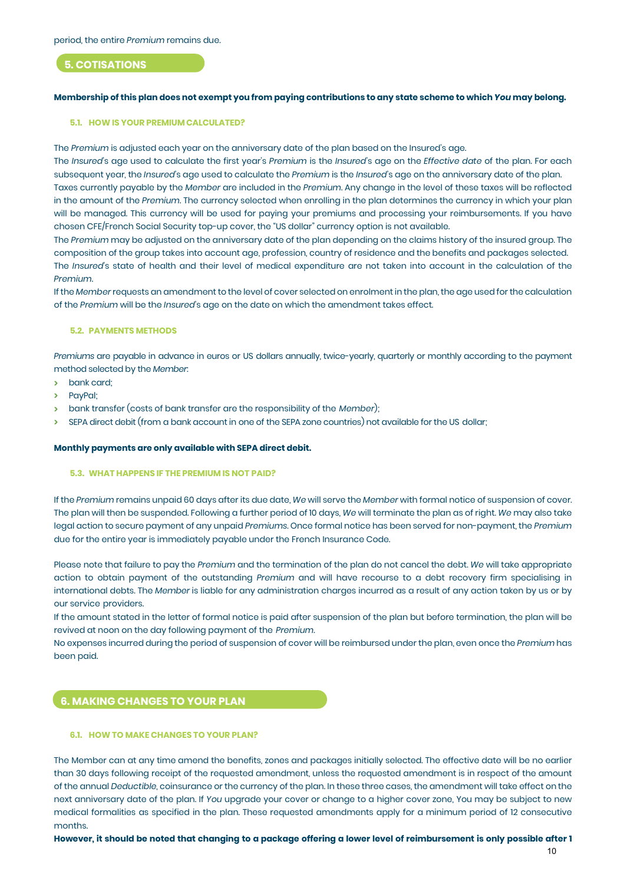#### **5. COTISATIONS**

#### **Membership of this plan does not exempt you from paying contributions to any state scheme to which** *You* **may belong.**

#### **5.1. HOW IS YOUR PREMIUMCALCULATED?**

The *Premium* is adjusted each year on the anniversary date of the plan based on the Insured's age.

The *Insured*'s age used to calculate the first year's *Premium* is the *Insured*'s age on the *Effective date* of the plan. For each subsequent year, the *Insured*'s age used to calculate the *Premium* is the *Insured*'s age on the anniversary date of the plan. Taxes currently payable by the *Member* are included in the *Premium*. Any change in the level of these taxes will be reflected in the amount of the *Premium*. The currency selected when enrolling in the plan determines the currency in which your plan will be managed. This currency will be used for paying your premiums and processing your reimbursements. If you have chosen CFE/French Social Security top-up cover, the "US dollar" currency option is not available.

The *Premium* may be adjusted on the anniversary date of the plan depending on the claims history of the insured group. The composition of the group takes into account age, profession, country of residence and the benefits and packages selected. The *Insured*'s state of health and their level of medical expenditure are not taken into account in the calculation of the *Premium*.

If the *Member* requests an amendment to the level of cover selected on enrolment in the plan, the age used for the calculation of the *Premium* will be the *Insured*'s age on the date on which the amendment takes effect.

#### **5.2. PAYMENTS METHODS**

*Premiums* are payable in advance in euros or US dollars annually, twice-yearly, quarterly or monthly according to the payment method selected by the *Member*:

- **>** bank card;
- **>** PayPal;
- **>** bank transfer (costs of bank transfer are the responsibility of the *Member*);
- **>** SEPA direct debit (from a bank account in one of the SEPA zone countries) not available for the US dollar;

#### **Monthly payments are only available with SEPA direct debit.**

#### **5.3. WHAT HAPPENS IF THE PREMIUM IS NOT PAID?**

If the *Premium* remains unpaid 60 days after its due date, *We* will serve the *Member* with formal notice of suspension of cover. The plan will then be suspended. Following a further period of 10 days, *We* will terminate the plan as of right. *We* may also take legal action to secure payment of any unpaid *Premiums*. Once formal notice has been served for non-payment, the *Premium*  due for the entire year is immediately payable under the French Insurance Code.

Please note that failure to pay the *Premium* and the termination of the plan do not cancel the debt. *We* will take appropriate action to obtain payment of the outstanding *Premium* and will have recourse to a debt recovery firm specialising in international debts. The *Member* is liable for any administration charges incurred as a result of any action taken by us or by our service providers.

If the amount stated in the letter of formal notice is paid after suspension of the plan but before termination, the plan will be revived at noon on the day following payment of the *Premium*.

No expenses incurred during the period of suspension of cover will be reimbursed under the plan, even once the *Premium* has been paid.

#### **6. MAKING CHANGES TO YOUR PLAN**

#### **6.1. HOW TO MAKE CHANGES TO YOUR PLAN?**

The Member can at any time amend the benefits, zones and packages initially selected. The effective date will be no earlier than 30 days following receipt of the requested amendment, unless the requested amendment is in respect of the amount of the annual *Deductible*, coinsurance or the currency of the plan. In these three cases, the amendment will take effect on the next anniversary date of the plan. If *You* upgrade your cover or change to a higher cover zone, You may be subject to new medical formalities as specified in the plan. These requested amendments apply for a minimum period of 12 consecutive months.

**However, it should be noted that changing to a package offering a lower level of reimbursement is only possible after 1**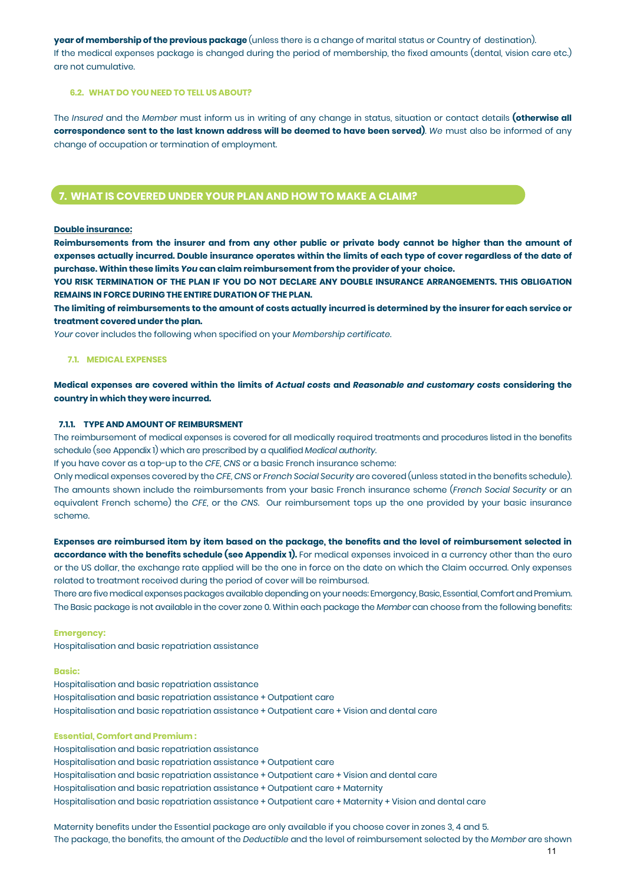**year of membership of the previous package** (unless there is a change of marital status or Country of destination). If the medical expenses package is changed during the period of membership, the fixed amounts (dental, vision care etc.) are not cumulative.

#### **6.2. WHAT DO YOU NEED TO TELL US ABOUT?**

<span id="page-10-0"></span>The *Insured* and the *Member* must inform us in writing of any change in status, situation or contact details **(otherwise all correspondence sent to the last known address will be deemed to have been served)**. *We* must also be informed of any change of occupation or termination of employment.

## **7. WHAT IS COVERED UNDER YOUR PLAN AND HOW TO MAKE A CLAIM?**

#### **Double insurance:**

**Reimbursements from the insurer and from any other public or private body cannot be higher than the amount of expenses actually incurred. Double insurance operates within the limits of each type of cover regardless of the date of purchase. Within these limits** *You* **can claim reimbursement from the provider of your choice.**

**YOU RISK TERMINATION OF THE PLAN IF YOU DO NOT DECLARE ANY DOUBLE INSURANCE ARRANGEMENTS. THIS OBLIGATION REMAINS IN FORCE DURING THE ENTIRE DURATION OF THE PLAN.**

**The limiting of reimbursements to the amount of costs actually incurred is determined by the insurer for each service or treatment covered under the plan.**

*Your* cover includes the following when specified on your *Membership certificate*.

#### **7.1. MEDICAL EXPENSES**

#### **Medical expenses are covered within the limits of** *Actual costs* **and** *Reasonable and customary costs* **considering the country in which they were incurred.**

#### **7.1.1. TYPE AND AMOUNT OF REIMBURSMENT**

The reimbursement of medical expenses is covered for all medically required treatments and procedures listed in the benefits schedule (see Appendix 1) which are prescribed by a qualified *Medical authority*.

If you have cover as a top-up to the *CFE*, *CNS* or a basic French insurance scheme:

Only medical expenses covered by the *CFE, CNS* or *French Social Security* are covered (unless stated in the benefits schedule). The amounts shown include the reimbursements from your basic French insurance scheme (*French Social Security* or an equivalent French scheme) the *CFE*, or the *CNS*. Our reimbursement tops up the one provided by your basic insurance scheme.

**Expenses are reimbursed item by item based on the package, the benefits and the level of reimbursement selected in accordance with the benefits schedule (see Appendix 1).** For medical expenses invoiced in a currency other than the euro or the US dollar, the exchange rate applied will be the one in force on the date on which the Claim occurred. Only expenses related to treatment received during the period of cover will be reimbursed.

There are five medical expenses packages available depending on your needs: Emergency, Basic, Essential, Comfort and Premium. The Basic package is not available in the cover zone 0. Within each package the *Member* can choose from the following benefits:

#### **Emergency:**

Hospitalisation and basic repatriation assistance

#### **Basic:**

Hospitalisation and basic repatriation assistance Hospitalisation and basic repatriation assistance + Outpatient care Hospitalisation and basic repatriation assistance + Outpatient care + Vision and dental care

#### **Essential, Comfort and Premium :**

Hospitalisation and basic repatriation assistance Hospitalisation and basic repatriation assistance + Outpatient care Hospitalisation and basic repatriation assistance + Outpatient care + Vision and dental care Hospitalisation and basic repatriation assistance + Outpatient care + Maternity Hospitalisation and basic repatriation assistance + Outpatient care + Maternity + Vision and dental care

Maternity benefits under the Essential package are only available if you choose cover in zones 3, 4 and 5. The package, the benefits, the amount of the *Deductible* and the level of reimbursement selected by the *Member* are shown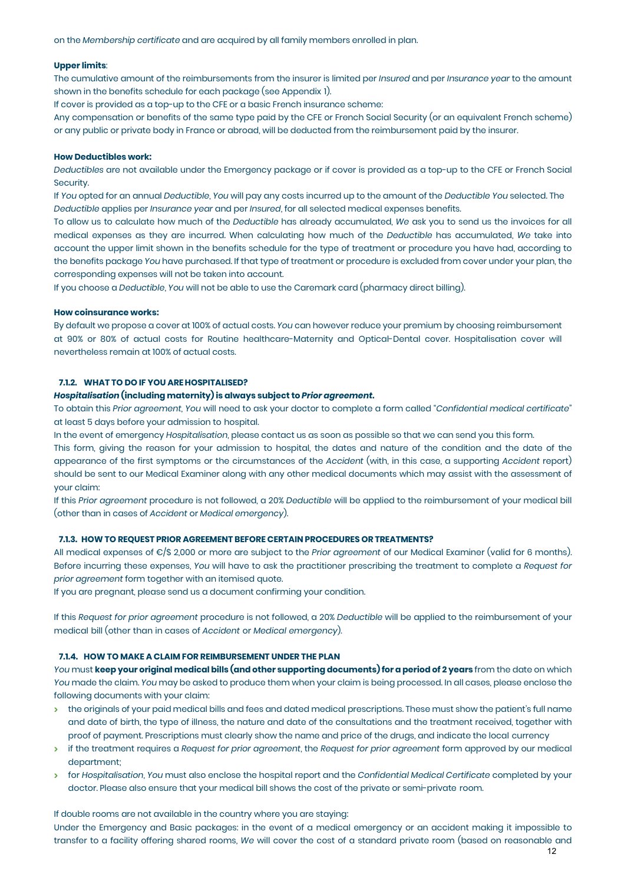on the *Membership certificate* and are acquired by all family members enrolled in plan.

#### **Upper limits**:

The cumulative amount of the reimbursements from the insurer is limited per *Insured* and per *Insurance year* to the amount shown in the benefits schedule for each package (see Appendix 1).

If cover is provided as a top-up to the CFE or a basic French insurance scheme:

Any compensation or benefits of the same type paid by the CFE or French Social Security (or an equivalent French scheme) or any public or private body in France or abroad, will be deducted from the reimbursement paid by the insurer.

#### **How Deductibles work:**

*Deductibles* are not available under the Emergency package or if cover is provided as a top-up to the CFE or French Social Security.

If *You* opted for an annual *Deductible*, *You* will pay any costs incurred up to the amount of the *Deductible You* selected. The *Deductible* applies per *Insurance year* and per *Insured*, for all selected medical expenses benefits.

To allow us to calculate how much of the *Deductible* has already accumulated, *We* ask you to send us the invoices for all medical expenses as they are incurred. When calculating how much of the *Deductible* has accumulated, *We* take into account the upper limit shown in the benefits schedule for the type of treatment or procedure you have had, according to the benefits package *You* have purchased. If that type of treatment or procedure is excluded from cover under your plan, the corresponding expenses will not be taken into account.

If you choose a *Deductible*, *You* will not be able to use the Caremark card (pharmacy direct billing).

#### **How coinsurance works:**

By default we propose a cover at 100% of actual costs. *You* can however reduce your premium by choosing reimbursement at 90% or 80% of actual costs for Routine healthcare-Maternity and Optical-Dental cover. Hospitalisation cover will nevertheless remain at 100% of actual costs.

#### **7.1.2. WHAT TO DO IF YOU ARE HOSPITALISED?**

#### *Hospitalisation* **(including maternity) is always subject to** *Prior agreement***.**

To obtain this *Prior agreement*, *You* will need to ask your doctor to complete a form called "*Confidential medical certificate*" at least 5 days before your admission to hospital.

In the event of emergency *Hospitalisation*, please contact us as soon as possible so that we can send you this form. This form, giving the reason for your admission to hospital, the dates and nature of the condition and the date of the appearance of the first symptoms or the circumstances of the *Accident* (with, in this case, a supporting *Accident* report)

should be sent to our Medical Examiner along with any other medical documents which may assist with the assessment of your claim:

If this *Prior agreement* procedure is not followed, a 20% *Deductible* will be applied to the reimbursement of your medical bill (other than in cases of *Accident* or *Medical emergency*).

#### **7.1.3. HOW TO REQUEST PRIOR AGREEMENT BEFORE CERTAIN PROCEDURES OR TREATMENTS?**

All medical expenses of €/\$ 2,000 or more are subject to the *Prior agreement* of our Medical Examiner (valid for 6 months). Before incurring these expenses, *You* will have to ask the practitioner prescribing the treatment to complete a *Request for prior agreement* form together with an itemised quote.

If you are pregnant, please send us a document confirming your condition.

If this *Request for prior agreement* procedure is not followed, a 20% *Deductible* will be applied to the reimbursement of your medical bill (other than in cases of *Accident* or *Medical emergency*).

#### **7.1.4. HOW TO MAKE A CLAIM FOR REIMBURSEMENT UNDER THE PLAN**

*You* must **keep your original medical bills (and other supporting documents) for a period of 2 years** from the date on which *You* made the claim. *You* may be asked to produce them when your claim is being processed. In all cases, please enclose the following documents with your claim:

- **>** the originals of your paid medical bills and fees and dated medical prescriptions. These must show the patient's full name and date of birth, the type of illness, the nature and date of the consultations and the treatment received, together with proof of payment. Prescriptions must clearly show the name and price of the drugs, and indicate the local currency
- **>** if the treatment requires a *Request for prior agreement*, the *Request for prior agreement* form approved by our medical department;
- **>** for *Hospitalisation*, *You* must also enclose the hospital report and the *Confidential Medical Certificate* completed by your doctor. Please also ensure that your medical bill shows the cost of the private or semi-private room.

If double rooms are not available in the country where you are staying:

Under the Emergency and Basic packages: in the event of a medical emergency or an accident making it impossible to transfer to a facility offering shared rooms, *We* will cover the cost of a standard private room (based on reasonable and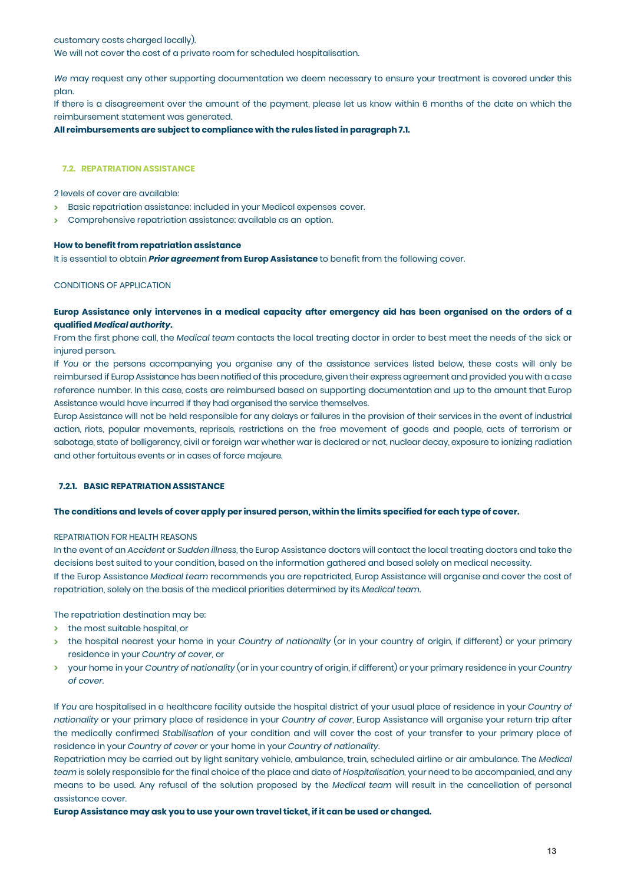customary costs charged locally). We will not cover the cost of a private room for scheduled hospitalisation.

*We* may request any other supporting documentation we deem necessary to ensure your treatment is covered under this plan.

If there is a disagreement over the amount of the payment, please let us know within 6 months of the date on which the reimbursement statement was generated.

#### **All reimbursements are subject to compliance with the rules listed in paragraph 7.1.**

#### **7.2. REPATRIATION ASSISTANCE**

2 levels of cover are available:

- **>** Basic repatriation assistance: included in your Medical expenses cover.
- **>** Comprehensive repatriation assistance: available as an option.

#### **How to benefit from repatriation assistance**

It is essential to obtain *Prior agreement* **from Europ Assistance** to benefit from the following cover.

#### CONDITIONS OF APPLICATION

#### **Europ Assistance only intervenes in a medical capacity after emergency aid has been organised on the orders of a qualified** *Medical authority***.**

From the first phone call, the *Medical team* contacts the local treating doctor in order to best meet the needs of the sick or injured person.

If *You* or the persons accompanying you organise any of the assistance services listed below, these costs will only be reimbursed if Europ Assistance has been notified of this procedure, given their express agreement and provided you with a case reference number. In this case, costs are reimbursed based on supporting documentation and up to the amount that Europ Assistance would have incurred if they had organised the service themselves.

Europ Assistance will not be held responsible for any delays or failures in the provision of their services in the event of industrial action, riots, popular movements, reprisals, restrictions on the free movement of goods and people, acts of terrorism or sabotage, state of belligerency, civil or foreign war whether war is declared or not, nuclear decay, exposure to ionizing radiation and other fortuitous events or in cases of force majeure.

#### **7.2.1. BASIC REPATRIATION ASSISTANCE**

#### **The conditions and levels of cover apply per insured person, within the limits specified for each type of cover.**

#### REPATRIATION FOR HEALTH REASONS

In the event of an *Accident* or *Sudden illness*, the Europ Assistance doctors will contact the local treating doctors and take the decisions best suited to your condition, based on the information gathered and based solely on medical necessity.

If the Europ Assistance *Medical team* recommends you are repatriated, Europ Assistance will organise and cover the cost of repatriation, solely on the basis of the medical priorities determined by its *Medical team*.

The repatriation destination may be:

- **>** the most suitable hospital, or
- **>** the hospital nearest your home in your *Country of nationality* (or in your country of origin, if different) or your primary residence in your *Country of cover*, or
- **>** your home in your *Country of nationality* (or in your country of origin, if different) or your primary residence in your *Country of cover.*

If *You* are hospitalised in a healthcare facility outside the hospital district of your usual place of residence in your *Country of nationality* or your primary place of residence in your *Country of cover*, Europ Assistance will organise your return trip after the medically confirmed *Stabilisation* of your condition and will cover the cost of your transfer to your primary place of residence in your *Country of cover* or your home in your *Country of nationality*.

Repatriation may be carried out by light sanitary vehicle, ambulance, train, scheduled airline or air ambulance. The *Medical team* is solely responsible for the final choice of the place and date of *Hospitalisation*, your need to be accompanied, and any means to be used. Any refusal of the solution proposed by the *Medical team* will result in the cancellation of personal assistance cover.

**Europ Assistance may ask you to use your own travel ticket, if it can be used or changed.**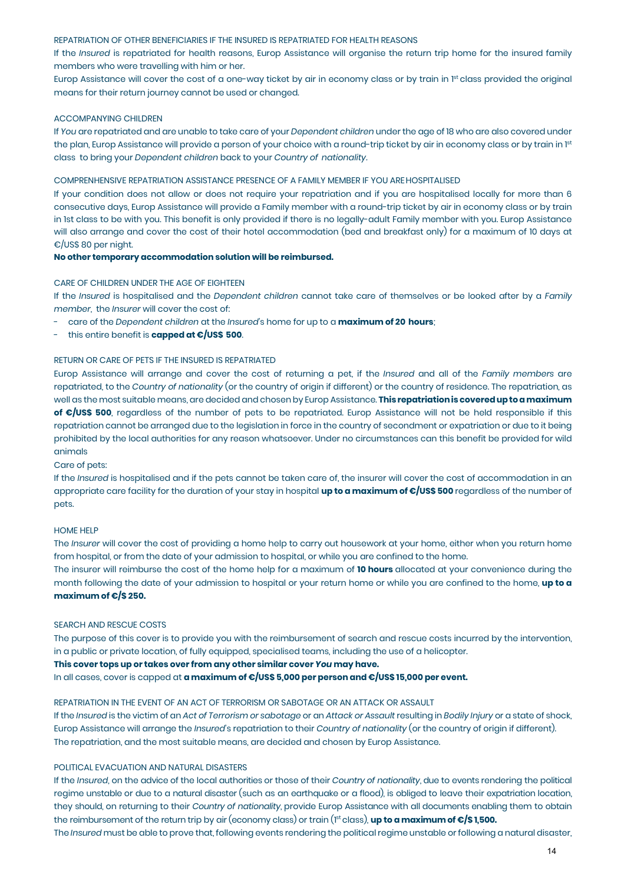#### REPATRIATION OF OTHER BENEFICIARIES IF THE INSURED IS REPATRIATED FOR HEALTH REASONS

If the *Insured* is repatriated for health reasons, Europ Assistance will organise the return trip home for the insured family members who were travelling with him or her.

Europ Assistance will cover the cost of a one-way ticket by air in economy class or by train in 1<sup>st</sup> class provided the original means for their return journey cannot be used or changed.

#### ACCOMPANYING CHILDREN

If *You* are repatriated and are unable to take care of your *Dependent children* under the age of 18 who are also covered under the plan, Europ Assistance will provide a person of your choice with a round-trip ticket by air in economy class or by train in 1st class to bring your *Dependent children* back to your *Country of nationality.*

#### COMPRENHENSIVE REPATRIATION ASSISTANCE PRESENCE OF A FAMILY MEMBER IF YOU AREHOSPITALISED

If your condition does not allow or does not require your repatriation and if you are hospitalised locally for more than 6 consecutive days, Europ Assistance will provide a Family member with a round-trip ticket by air in economy class or by train in 1st class to be with you. This benefit is only provided if there is no legally-adult Family member with you. Europ Assistance will also arrange and cover the cost of their hotel accommodation (bed and breakfast only) for a maximum of 10 days at €/US\$ 80 per night.

#### **No other temporary accommodation solution will be reimbursed.**

#### CARE OF CHILDREN UNDER THE AGE OF EIGHTEEN

If the *Insured* is hospitalised and the *Dependent children* cannot take care of themselves or be looked after by a *Family member*, the *Insurer* will cover the cost of:

- care of the *Dependent children* at the *Insured*'s home for up to a **maximum of 20 hours**;

- this entire benefit is **capped at €/US\$ 500**.

#### RETURN OR CARE OF PETS IF THE INSURED IS REPATRIATED

Europ Assistance will arrange and cover the cost of returning a pet, if the *Insured* and all of the *Family members* are repatriated, to the *Country of nationality* (or the country of origin if different) or the country of residence. The repatriation, as well as the most suitable means, are decided and chosen by Europ Assistance. **This repatriation is covered up to a maximum of €/US\$ 500**, regardless of the number of pets to be repatriated. Europ Assistance will not be held responsible if this repatriation cannot be arranged due to the legislation in force in the country of secondment or expatriation or due to it being prohibited by the local authorities for any reason whatsoever. Under no circumstances can this benefit be provided for wild animals

Care of pets:

If the *Insured* is hospitalised and if the pets cannot be taken care of, the insurer will cover the cost of accommodation in an appropriate care facility for the duration of your stay in hospital **up to a maximum of €/US\$ 500** regardless of the number of pets.

#### HOME HELP

The *Insurer* will cover the cost of providing a home help to carry out housework at your home, either when you return home from hospital, or from the date of your admission to hospital, or while you are confined to the home.

The insurer will reimburse the cost of the home help for a maximum of **10 hours** allocated at your convenience during the month following the date of your admission to hospital or your return home or while you are confined to the home, **up to a maximum of €/\$ 250.**

#### SEARCH AND RESCUE COSTS

The purpose of this cover is to provide you with the reimbursement of search and rescue costs incurred by the intervention, in a public or private location, of fully equipped, specialised teams, including the use of a helicopter.

#### **This cover tops up or takes over from any other similar cover** *You* **may have.**

In all cases, cover is capped at **a maximum of €/US\$ 5,000 per person and €/US\$ 15,000 per event.**

#### REPATRIATION IN THE EVENT OF AN ACT OF TERRORISM OR SABOTAGE OR AN ATTACK OR ASSAULT

If the *Insured* is the victim of an *Act of Terrorism or sabotage* or an *Attack or Assault* resulting in *Bodily Injury* or a state of shock, Europ Assistance will arrange the *Insured*'s repatriation to their *Country of nationality* (or the country of origin if different). The repatriation, and the most suitable means, are decided and chosen by Europ Assistance.

#### POLITICAL EVACUATION AND NATURAL DISASTERS

If the *Insured*, on the advice of the local authorities or those of their *Country of nationality*, due to events rendering the political regime unstable or due to a natural disaster (such as an earthquake or a flood), is obliged to leave their expatriation location, they should, on returning to their *Country of nationality*, provide Europ Assistance with all documents enabling them to obtain the reimbursement of the return trip by air (economy class) or train (1st class), **up to a maximum of €/\$ 1,500.** The *Insured* must be able to prove that, following events rendering the political regime unstable or following a natural disaster,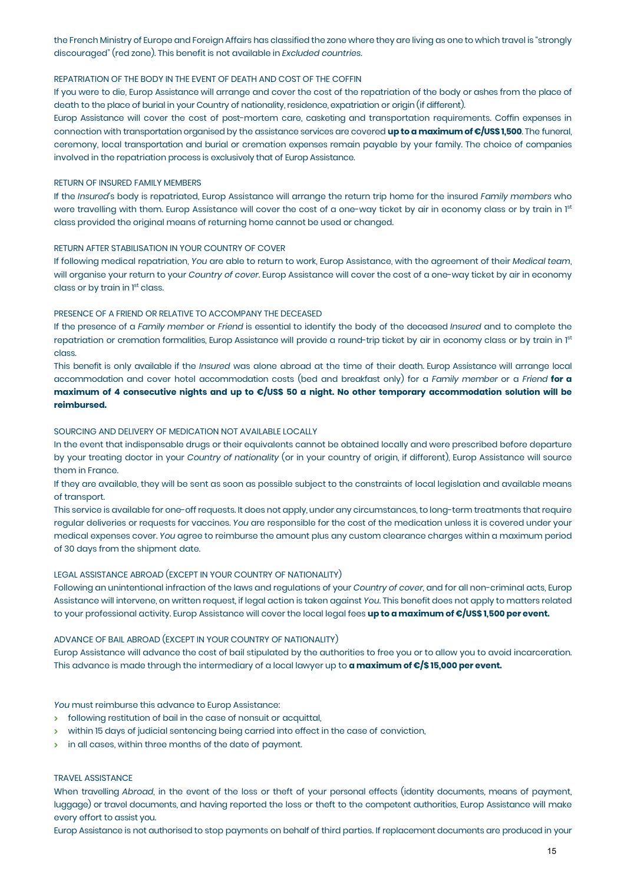the French Ministry of Europe and Foreign Affairs has classified the zone where they are living as one to which travel is "strongly discouraged" (red zone). This benefit is not available in *Excluded countries.*

#### REPATRIATION OF THE BODY IN THE EVENT OF DEATH AND COST OF THE COFFIN

If you were to die, Europ Assistance will arrange and cover the cost of the repatriation of the body or ashes from the place of death to the place of burial in your Country of nationality, residence, expatriation or origin (if different).

Europ Assistance will cover the cost of post-mortem care, casketing and transportation requirements. Coffin expenses in connection with transportation organised by the assistance services are covered **up to a maximum of €/US\$ 1,500**. The funeral, ceremony, local transportation and burial or cremation expenses remain payable by your family. The choice of companies involved in the repatriation process is exclusively that of Europ Assistance.

#### RETURN OF INSURED FAMILY MEMBERS

If the *Insured'*s body is repatriated, Europ Assistance will arrange the return trip home for the insured *Family members* who were travelling with them. Europ Assistance will cover the cost of a one-way ticket by air in economy class or by train in 1st class provided the original means of returning home cannot be used or changed.

#### RETURN AFTER STABILISATION IN YOUR COUNTRY OF COVER

If following medical repatriation, *You* are able to return to work, Europ Assistance, with the agreement of their *Medical team*, will organise your return to your *Country of cover*. Europ Assistance will cover the cost of a one-way ticket by air in economy class or by train in 1st class.

#### PRESENCE OF A FRIEND OR RELATIVE TO ACCOMPANY THE DECEASED

If the presence of a *Family member* or *Friend* is essential to identify the body of the deceased *Insured* and to complete the repatriation or cremation formalities, Europ Assistance will provide a round-trip ticket by air in economy class or by train in 1<sup>st</sup> class.

This benefit is only available if the *Insured* was alone abroad at the time of their death. Europ Assistance will arrange local accommodation and cover hotel accommodation costs (bed and breakfast only) for a *Family member* or a *Friend* **for a maximum of 4 consecutive nights and up to €/US\$ 50 a night. No other temporary accommodation solution will be reimbursed.**

#### SOURCING AND DELIVERY OF MEDICATION NOT AVAILABLE LOCALLY

In the event that indispensable drugs or their equivalents cannot be obtained locally and were prescribed before departure by your treating doctor in your *Country of nationality* (or in your country of origin, if different), Europ Assistance will source them in France.

If they are available, they will be sent as soon as possible subject to the constraints of local legislation and available means of transport.

This service is available for one-off requests. It does not apply, under any circumstances, to long-term treatments that require regular deliveries or requests for vaccines. *You* are responsible for the cost of the medication unless it is covered under your medical expenses cover. *You* agree to reimburse the amount plus any custom clearance charges within a maximum period of 30 days from the shipment date.

#### LEGAL ASSISTANCE ABROAD (EXCEPT IN YOUR COUNTRY OF NATIONALITY)

Following an unintentional infraction of the laws and regulations of your *Country of cover*, and for all non-criminal acts, Europ Assistance will intervene, on written request, if legal action is taken against *You*. This benefit does not apply to matters related to your professional activity. Europ Assistance will cover the local legal fees **up to a maximum of €/US\$ 1,500 per event.**

#### ADVANCE OF BAIL ABROAD (EXCEPT IN YOUR COUNTRY OF NATIONALITY)

Europ Assistance will advance the cost of bail stipulated by the authorities to free you or to allow you to avoid incarceration. This advance is made through the intermediary of a local lawyer up to **a maximum of €/\$ 15,000 per event.**

*You* must reimburse this advance to Europ Assistance:

- **>** following restitution of bail in the case of nonsuit or acquittal,
- **>** within 15 days of judicial sentencing being carried into effect in the case of conviction,
- **>** in all cases, within three months of the date of payment.

#### TRAVEL ASSISTANCE

When travelling *Abroad*, in the event of the loss or theft of your personal effects (identity documents, means of payment, luggage) or travel documents, and having reported the loss or theft to the competent authorities, Europ Assistance will make every effort to assist you.

Europ Assistance is not authorised to stop payments on behalf of third parties. If replacement documents are produced in your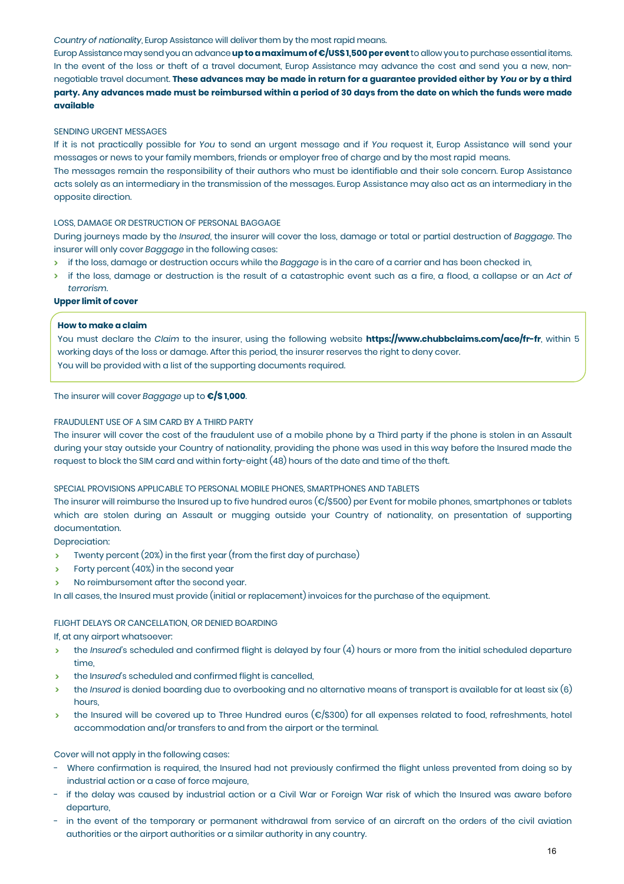#### *Country of nationality*, Europ Assistance will deliver them by the most rapid means.

Europ Assistance may send you an advance **up to a maximum of €/US\$ 1,500 per event** to allow you to purchase essential items. In the event of the loss or theft of a travel document, Europ Assistance may advance the cost and send you a new, nonnegotiable travel document. **These advances may be made in return for a guarantee provided either by** *You* **or by a third party. Any advances made must be reimbursed within a period of 30 days from the date on which the funds were made available**

#### SENDING URGENT MESSAGES

If it is not practically possible for *You* to send an urgent message and if *You* request it, Europ Assistance will send your messages or news to your family members, friends or employer free of charge and by the most rapid means.

The messages remain the responsibility of their authors who must be identifiable and their sole concern. Europ Assistance acts solely as an intermediary in the transmission of the messages. Europ Assistance may also act as an intermediary in the opposite direction.

#### LOSS, DAMAGE OR DESTRUCTION OF PERSONAL BAGGAGE

During journeys made by the *Insured*, the insurer will cover the loss, damage or total or partial destruction of *Baggage*. The insurer will only cover *Baggage* in the following cases:

- **>** if the loss, damage or destruction occurs while the *Baggage* is in the care of a carrier and has been checked in,
- **>** if the loss, damage or destruction is the result of a catastrophic event such as a fire, a flood, a collapse or an *Act of terrorism.*

#### **Upper limit of cover**

#### **How to make a claim**

You must declare the *Claim* to the insurer, using the following website **https://www.chubbclaims.com/ace/fr-fr**, within 5 working days of the loss or damage. After this period, the insurer reserves the right to deny cover. You will be provided with a list of the supporting documents required.

The insurer will cover *Baggage* up to **€/\$ 1,000**.

#### FRAUDULENT USE OF A SIM CARD BY A THIRD PARTY

The insurer will cover the cost of the fraudulent use of a mobile phone by a Third party if the phone is stolen in an Assault during your stay outside your Country of nationality, providing the phone was used in this way before the Insured made the request to block the SIM card and within forty-eight (48) hours of the date and time of the theft.

#### SPECIAL PROVISIONS APPLICABLE TO PERSONAL MOBILE PHONES, SMARTPHONES AND TABLETS

The insurer will reimburse the Insured up to five hundred euros  $(\epsilon/\$ \$500) per Event for mobile phones, smartphones or tablets which are stolen during an Assault or mugging outside your Country of nationality, on presentation of supporting documentation.

Depreciation:

- **>** Twenty percent (20%) in the first year (from the first day of purchase)
- **>** Forty percent (40%) in the second year
- **>** No reimbursement after the second year.

In all cases, the Insured must provide (initial or replacement) invoices for the purchase of the equipment.

#### FLIGHT DELAYS OR CANCELLATION, OR DENIED BOARDING

If, at any airport whatsoever:

- **>** the *Insured*'s scheduled and confirmed flight is delayed by four (4) hours or more from the initial scheduled departure time,
- **>** the I*nsured*'s scheduled and confirmed flight is cancelled,
- **>** the *Insured* is denied boarding due to overbooking and no alternative means of transport is available for at least six (6) hours,
- **>** the Insured will be covered up to Three Hundred euros (€/\$300) for all expenses related to food, refreshments, hotel accommodation and/or transfers to and from the airport or the terminal.

Cover will not apply in the following cases:

- Where confirmation is required, the Insured had not previously confirmed the flight unless prevented from doing so by industrial action or a case of force majeure,
- if the delay was caused by industrial action or a Civil War or Foreign War risk of which the Insured was aware before departure,
- in the event of the temporary or permanent withdrawal from service of an aircraft on the orders of the civil aviation authorities or the airport authorities or a similar authority in any country.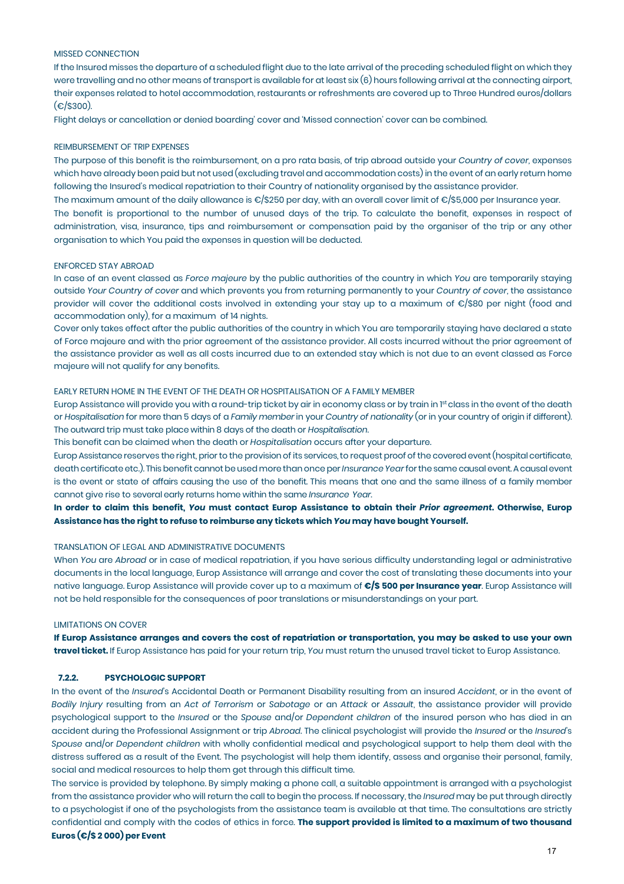#### MISSED CONNECTION

If the Insured misses the departure of a scheduled flight due to the late arrival of the preceding scheduled flight on which they were travelling and no other means of transport is available for at least six (6) hours following arrival at the connecting airport, their expenses related to hotel accommodation, restaurants or refreshments are covered up to Three Hundred euros/dollars  $(E/$ \$300).

Flight delays or cancellation or denied boarding' cover and 'Missed connection' cover can be combined.

#### REIMBURSEMENT OF TRIP EXPENSES

The purpose of this benefit is the reimbursement, on a pro rata basis, of trip abroad outside your *Country of cover,* expenses which have already been paid but not used (excluding travel and accommodation costs) in the event of an early return home following the Insured's medical repatriation to their Country of nationality organised by the assistance provider.

The maximum amount of the daily allowance is €/\$250 per day, with an overall cover limit of €/\$5,000 per Insurance year. The benefit is proportional to the number of unused days of the trip. To calculate the benefit, expenses in respect of administration, visa, insurance, tips and reimbursement or compensation paid by the organiser of the trip or any other organisation to which You paid the expenses in question will be deducted.

#### ENFORCED STAY ABROAD

In case of an event classed as *Force majeure* by the public authorities of the country in which *You* are temporarily staying outside *Your Country of cover* and which prevents you from returning permanently to your *Country of cover*, the assistance provider will cover the additional costs involved in extending your stay up to a maximum of €/\$80 per night (food and accommodation only), for a maximum of 14 nights.

Cover only takes effect after the public authorities of the country in which You are temporarily staying have declared a state of Force majeure and with the prior agreement of the assistance provider. All costs incurred without the prior agreement of the assistance provider as well as all costs incurred due to an extended stay which is not due to an event classed as Force majeure will not qualify for any benefits.

#### EARLY RETURN HOME IN THE EVENT OF THE DEATH OR HOSPITALISATION OF A FAMILY MEMBER

Europ Assistance will provide you with a round-trip ticket by air in economy class or by train in 1st class in the event of the death or *Hospitalisation* for more than 5 days of a *Family member* in your *Country of nationality* (or in your country of origin if different). The outward trip must take place within 8 days of the death or *Hospitalisation*.

This benefit can be claimed when the death or *Hospitalisation* occurs after your departure.

Europ Assistance reserves the right, prior to the provision of its services, to request proof of the covered event (hospital certificate, death certificate etc.). This benefit cannot be usedmore than onceper*Insurance Year*forthe same causal event.Acausalevent is the event or state of affairs causing the use of the benefit. This means that one and the same illness of a family member cannot give rise to several early returns home within the same *Insurance Year*.

**In order to claim this benefit,** *You* **must contact Europ Assistance to obtain their** *Prior agreement***. Otherwise, Europ Assistance has the right to refuse to reimburse any tickets which** *You* **may have bought Yourself.**

#### TRANSLATION OF LEGAL AND ADMINISTRATIVE DOCUMENTS

When *You* are *Abroad* or in case of medical repatriation, if you have serious difficulty understanding legal or administrative documents in the local language, Europ Assistance will arrange and cover the cost of translating these documents into your native language. Europ Assistance will provide cover up to a maximum of **€/\$ 500 per Insurance year**. Europ Assistance will not be held responsible for the consequences of poor translations or misunderstandings on your part.

#### LIMITATIONS ON COVER

**If Europ Assistance arranges and covers the cost of repatriation or transportation, you may be asked to use your own travel ticket.** If Europ Assistance has paid for your return trip, *You* must return the unused travel ticket to Europ Assistance.

#### **7.2.2. PSYCHOLOGIC SUPPORT**

In the event of the *Insured*'s Accidental Death or Permanent Disability resulting from an insured *Accident*, or in the event of *Bodily Injury* resulting from an *Act of Terrorism* or *Sabotage* or an *Attack* or *Assault*, the assistance provider will provide psychological support to the *Insured* or the *Spouse* and/or *Dependent children* of the insured person who has died in an accident during the Professional Assignment or trip *Abroad*. The clinical psychologist will provide the *Insured* or the *Insured*'s *Spouse* and/or *Dependent children* with wholly confidential medical and psychological support to help them deal with the distress suffered as a result of the Event. The psychologist will help them identify, assess and organise their personal, family, social and medical resources to help them get through this difficult time.

The service is provided by telephone. By simply making a phone call, a suitable appointment is arranged with a psychologist from the assistance provider who will return the call to begin the process. If necessary, the *Insured* may be put through directly to a psychologist if one of the psychologists from the assistance team is available at that time. The consultations are strictly confidential and comply with the codes of ethics in force. **The support provided is limited to a maximum of two thousand Euros (€/\$ 2 000) per Event**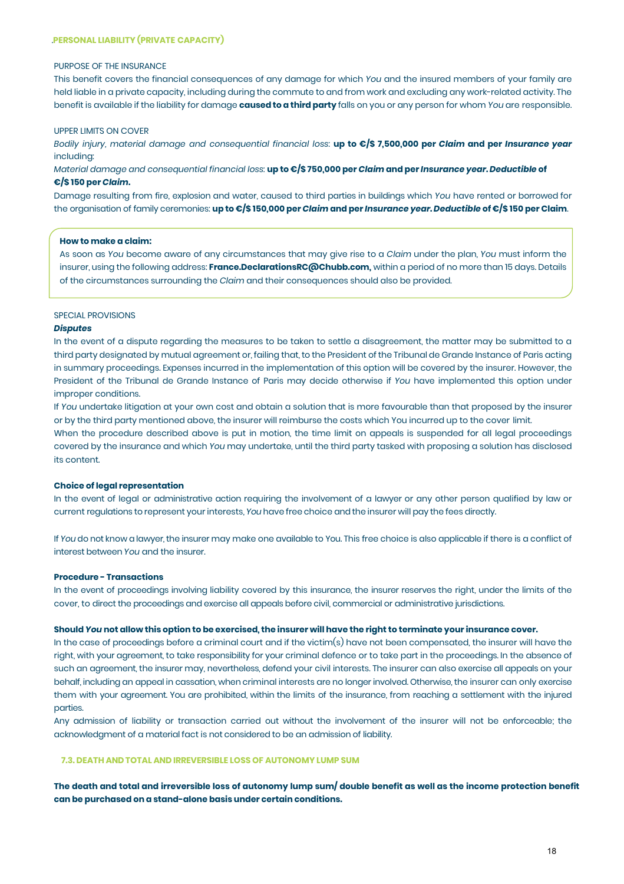#### PURPOSE OF THE INSURANCE

This benefit covers the financial consequences of any damage for which *You* and the insured members of your family are held liable in a private capacity, including during the commute to and from work and excluding any work-related activity. The benefit is available if the liability for damage **caused to a third party** falls on you or any person for whom *You* are responsible.

#### UPPER LIMITS ON COVER

*Bodily injury, material damage and consequential financial loss*: **up to €/\$ 7,500,000 per** *Claim* **and per** *Insurance year*  including:

*Material damage and consequential financial loss*: **up to €/\$ 750,000 per** *Claim* **and per** *Insurance year***.** *Deductible* **of €/\$ 150 per** *Claim***.**

Damage resulting from fire, explosion and water, caused to third parties in buildings which *You* have rented or borrowed for the organisation of family ceremonies: **up to €/\$ 150,000 per** *Claim* **and per** *Insurance year***.** *Deductible* **of €/\$ 150 per Claim**.

#### **How to make a claim:**

As soon as *You* become aware of any circumstances that may give rise to a *Claim* under the plan, *You* must inform the insurer, using the following address: **France.DeclarationsRC@Chubb.com,** within a period of no more than 15 days. Details of the circumstances surrounding the *Claim* and their consequences should also be provided.

#### SPECIAL PROVISIONS

#### *Disputes*

In the event of a dispute regarding the measures to be taken to settle a disagreement, the matter may be submitted to a third party designated by mutual agreement or, failing that, to the President of the Tribunal de Grande Instance of Paris acting in summary proceedings. Expenses incurred in the implementation of this option will be covered by the insurer. However, the President of the Tribunal de Grande Instance of Paris may decide otherwise if *You* have implemented this option under improper conditions.

If *You* undertake litigation at your own cost and obtain a solution that is more favourable than that proposed by the insurer or by the third party mentioned above, the insurer will reimburse the costs which You incurred up to the cover limit.

When the procedure described above is put in motion, the time limit on appeals is suspended for all legal proceedings covered by the insurance and which *You* may undertake, until the third party tasked with proposing a solution has disclosed its content.

#### **Choice of legal representation**

In the event of legal or administrative action requiring the involvement of a lawyer or any other person qualified by law or current regulations to represent your interests, *You* have free choice andthe insurer will pay the fees directly.

If *You* do not know a lawyer, the insurer may make one available to You. This free choice is also applicable if there is a conflict of interest between *You* and the insurer.

#### **Procedure - Transactions**

In the event of proceedings involving liability covered by this insurance, the insurer reserves the right, under the limits of the cover, to direct the proceedings and exercise all appeals before civil, commercial or administrative jurisdictions.

#### **Should** *You* **not allow this option to be exercised, the insurer will have the right to terminate your insurance cover.**

In the case of proceedings before a criminal court and if the victim(s) have not been compensated, the insurer will have the right, with your agreement, to take responsibility for your criminal defence or to take part in the proceedings. In the absence of such an agreement, the insurer may, nevertheless, defend your civil interests. The insurer can also exercise all appeals on your behalf, including an appeal in cassation, when criminal interests are no longer involved. Otherwise, the insurer can only exercise them with your agreement. You are prohibited, within the limits of the insurance, from reaching a settlement with the injured parties.

Any admission of liability or transaction carried out without the involvement of the insurer will not be enforceable; the acknowledgment of a material fact is not considered to be an admission of liability.

#### **7.3. DEATH AND TOTAL AND IRREVERSIBLE LOSS OF AUTONOMY LUMP SUM**

**The death and total and irreversible loss of autonomy lump sum/ double benefit as well as the income protection benefit can be purchased on a stand-alone basis under certain conditions.**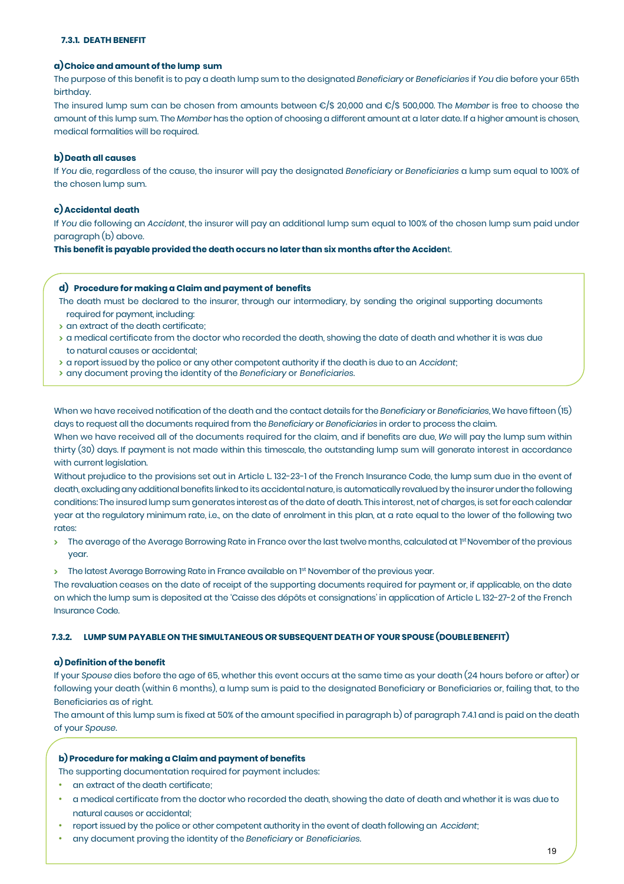#### **7.3.1. DEATH BENEFIT**

#### **a)Choice and amount of the lump sum**

The purpose of this benefit is to pay a death lump sum to the designated *Beneficiary* or *Beneficiaries* if *You* die before your 65th birthday.

The insured lump sum can be chosen from amounts between €/\$ 20,000 and €/\$ 500,000. The *Member* is free to choose the amount of this lump sum. The *Member* has the option of choosing a different amount at a later date. If a higher amount is chosen, medical formalities will be required.

#### **b)Death all causes**

If *You* die, regardless of the cause, the insurer will pay the designated *Beneficiary* or *Beneficiaries* a lump sum equal to 100% of the chosen lump sum.

#### **c) Accidental death**

If *You* die following an *Accident*, the insurer will pay an additional lump sum equal to 100% of the chosen lump sum paid under paragraph (b) above.

#### **This benefit is payable provided the death occurs no later than six months after the Acciden**t.

#### **d) Procedure for making a Claim and payment of benefits**

The death must be declared to the insurer, through our intermediary, by sending the original supporting documents required for payment, including:

- **>** an extract of the death certificate;
- **>** a medical certificate from the doctor who recorded the death, showing the date of death and whether it is was due to natural causes or accidental;
- **>** a report issued by the police or any other competent authority if the death is due to an *Accident*;
- **>** any document proving the identity of the *Beneficiary* or *Beneficiaries*.

When we have received notification of the death and the contact details for the *Beneficiary* or *Beneficiaries*, We have fifteen (15) days to request all the documents required from the *Beneficiary* or *Beneficiaries* in order to process the claim.

When we have received all of the documents required for the claim, and if benefits are due, *We* will pay the lump sum within thirty (30) days. If payment is not made within this timescale, the outstanding lump sum will generate interest in accordance with current legislation.

Without prejudice to the provisions set out in Article L. 132-23-1 of the French Insurance Code, the lump sum due in the event of death, excluding any additional benefits linked to its accidental nature, is automatically revalued by the insurer under the following conditions: The insured lump sum generates interest as of the date of death. This interest, net of charges, is set for each calendar year at the regulatory minimum rate, i.e., on the date of enrolment in this plan, at a rate equal to the lower of the following two rates:

- **>** The average of the Average Borrowing Rate in France over the last twelve months, calculated at 1<sup>st</sup> November of the previous year.
- **>** The latest Average Borrowing Rate in France available on 1 st November of the previous year.

The revaluation ceases on the date of receipt of the supporting documents required for payment or, if applicable, on the date on which the lump sum is deposited at the 'Caisse des dépôts et consignations' in application of Article L. 132-27-2 of the French Insurance Code.

#### **7.3.2. LUMP SUM PAYABLE ON THE SIMULTANEOUS OR SUBSEQUENT DEATH OF YOUR SPOUSE (DOUBLEBENEFIT)**

#### **a) Definition of the benefit**

If your *Spouse* dies before the age of 65, whether this event occurs at the same time as your death (24 hours before or after) or following your death (within 6 months), a lump sum is paid to the designated Beneficiary or Beneficiaries or, failing that, to the Beneficiaries as of right.

The amount of this lump sum is fixed at 50% of the amount specified in paragraph b) of paragraph 7.4.1 and is paid on the death of your *Spouse*.

#### **b) Procedure for making a Claim and payment of benefits**

The supporting documentation required for payment includes:

- an extract of the death certificate;
- a medical certificate from the doctor who recorded the death, showing the date of death and whether it is was due to natural causes or accidental;
- report issued by the police or other competent authority in the event of death following an *Accident*;
- any document proving the identity of the *Beneficiary* or *Beneficiaries*.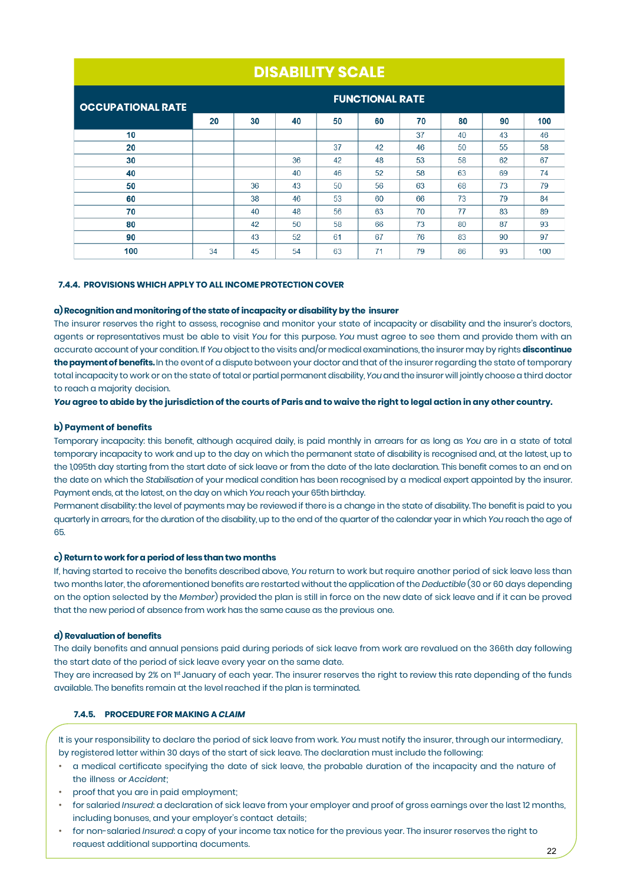| <b>DISABILITY SCALE</b>  |    |    |    |    |                        |    |    |    |     |
|--------------------------|----|----|----|----|------------------------|----|----|----|-----|
| <b>OCCUPATIONAL RATE</b> |    |    |    |    | <b>FUNCTIONAL RATE</b> |    |    |    |     |
|                          | 20 | 30 | 40 | 50 | 60                     | 70 | 80 | 90 | 100 |
| 10                       |    |    |    |    |                        | 37 | 40 | 43 | 46  |
| 20                       |    |    |    | 37 | 42                     | 46 | 50 | 55 | 58  |
| 30                       |    |    | 36 | 42 | 48                     | 53 | 58 | 62 | 67  |
| 40                       |    |    | 40 | 46 | 52                     | 58 | 63 | 69 | 74  |
| 50                       |    | 36 | 43 | 50 | 56                     | 63 | 68 | 73 | 79  |
| 60                       |    | 38 | 46 | 53 | 60                     | 66 | 73 | 79 | 84  |
| 70                       |    | 40 | 48 | 56 | 63                     | 70 | 77 | 83 | 89  |
| 80                       |    | 42 | 50 | 58 | 66                     | 73 | 80 | 87 | 93  |
| 90                       |    | 43 | 52 | 61 | 67                     | 76 | 83 | 90 | 97  |
| 100                      | 34 | 45 | 54 | 63 | 71                     | 79 | 86 | 93 | 100 |

#### **7.4.4. PROVISIONS WHICH APPLY TO ALL INCOME PROTECTION COVER**

#### **-Ôœ Recognition and monitoringof the state of incapacity or disability by the insurer**

The insurer reserves the right to assess, recognise and monitor your state of incapacity or disability and the insurer's doctors, and the insurer's doctors, and the insurer's doctors, and the insurer's doctors, and the ins agents or representatives must be able to visit *You* for this purpose. *You* must agree to see them and provide them with an accurate account of your condition. If *You* objectto the visits and/or medical examinations,the insurer may by rights **discontinue**  the payment of benefits. In the event of a dispute between your doctor and that of the insurer regarding the state of temporary total incapacity to work or on the state of total or partial permanent disability, *You* and the insurer will jointly choosea third doctor to reach a majority decision.

*You* **agree to abide by the jurisdiction of the courts of Paris and to waive the right to legal action in any other country.** 

#### **-Õœ Payment of benefits**

Temporary incapacity: this benefit, although acquired daily, is paid monthly in arrears for as long as *You* are in a state of total temporary incapacity to work and up to the day on which the permanent state of disability is recognised and, at the latest, up to $\boxtimes$ the 1,095th day starting from the start date of sick leave or from the date of the late declaration. This benefit comes to an end on the date on which the *Stabilisation* of your medical condition has been recognised by a medical expert appointed by the insurer. Payment ends, at the latest, on the day on which *You* reach your 65th birthday.

Permanent disability:the level of payments may be reviewed if there is a change in the state of disability. The benefit is paid to you quarterly in arrears, for the duration of the disability, up to the end of the quarter of the calendar year in which *You* reach the age of 65.

#### -Öœ **Returnto work for a period of less than two months**

If, having started to receive the benefits described above, You return to work but require another period of sick leave less than**Ø** two months later, the aforementioned benefits are restarted without the application of the *Deductible* (30 or 60 days depending on the option selected by the *Member*) provided the plan is still in force on the new date of sick leave and if it can be proved that the new period of absence from work has the same cause as the previous one.

#### -×œ **Revaluationof benefits**

The daily benefits and annual pensions paid during periods of sick leave from work are revalued on the 366th day following the start date of the period of sick leave every year on the same date.

They are increased by 2% **kings** ÛØÔáÜ-Øåæ-Ôåì-ÛØãßÔáthe right to review this rate depending of the funds Truilable. The benefits remain at the level reached if the plan is terminated.

#### **7.4.5. PROCEDURE FOR MAKING A** *CLAIM*

It is your responsibility to declare the period of sick leave from work. *You* must notify the insurer, through our intermediary, by registered letter within 30 days of the start of sick leave. The declaration must include the following:

- a medical certificate specifying the date of sick leave, the probable duration of the incapacity and the nature of the illness or *Accident*;
- proof that you are in paid employment;
- for salaried *Insured*: a declaration of sick leave from your employer and proof of gross earnings over the last 12 months, including bonuses, and your employer's contact details;
- for non-salaried *Insured*: a copy of your income tax notice for the previous year. The insurer reserves the right to request additional supporting documents.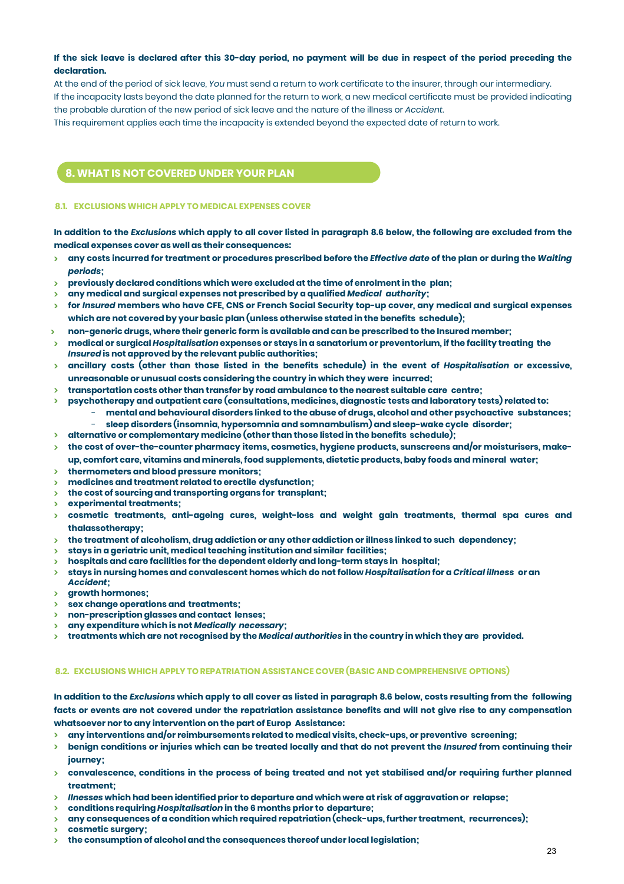#### **If the sick leave is declared after this 30-day period, no payment will be due in respect of the period preceding the declaration.**

At the end of the period of sick leave, *You* must send a return to work certificate to the insurer, through our intermediary. If the incapacity lasts beyond the date planned for the return to work, a new medical certificate must be provided indicating the probable duration of the new period of sick leave and the nature of the illness or *Accident*.

This requirement applies each time the incapacity is extended beyond the expected date of return to work.

## **8. WHAT IS NOT COVERED UNDER YOUR PLAN**

#### **8.1. EXCLUSIONS WHICH APPLY TO MEDICAL EXPENSES COVER**

**In addition to the** *Exclusions* **which apply to all cover listed in paragraph 8.6 below, the following are excluded from the medical expenses cover as well as their consequences:**

- **> any costs incurred for treatment or procedures prescribed before the** *Effective date* **of the plan or during the** *Waiting periods***;**
- **> previously declared conditions which were excluded at the time of enrolment in the plan;**
- **> any medical and surgical expenses not prescribed by a qualified** *Medical authority***;**
- **> for** *Insured* **members who have CFE, CNS or French Social Security top-up cover, any medical and surgical expenses which are not covered by your basic plan (unless otherwise stated in the benefits schedule);**
- **> non-generic drugs, where their generic form is available and can be prescribed to the Insured member;**
- **> medical or surgical** *Hospitalisation* **expenses or stays in a sanatorium or preventorium, if the facility treating the** *Insured* **is not approved by the relevant public authorities;**
- **> ancillary costs (other than those listed in the benefits schedule) in the event of** *Hospitalisation* **or excessive, unreasonable or unusual costs considering the country in which they were incurred;**
- **> transportation costs other than transfer by road ambulance to the nearest suitable care centre;**
	- **> psychotherapy and outpatient care (consultations, medicines, diagnostic tests and laboratory tests) related to:**
		- **mental and behavioural disorders linked to the abuse of drugs, alcohol and other psychoactive substances;** - **sleep disorders (insomnia, hypersomnia and somnambulism) and sleep-wake cycle disorder;**
- **> alternative or complementary medicine (other than those listed in the benefits schedule);**
- **> the cost of over-the-counter pharmacy items, cosmetics, hygiene products, sunscreens and/or moisturisers, makeup, comfort care, vitamins and minerals, food supplements, dietetic products, baby foods and mineral water;**
- **> thermometers and blood pressure monitors;**
- **> medicines and treatment related to erectile dysfunction;**
- **> the cost of sourcing and transporting organs for transplant;**
- **> experimental treatments;**
- **> cosmetic treatments, anti-ageing cures, weight-loss and weight gain treatments, thermal spa cures and thalassotherapy;**
- **> the treatment of alcoholism, drug addiction or any other addiction or illness linked to such dependency;**
- **> stays in a geriatric unit, medical teaching institution and similar facilities;**
- **> hospitals and care facilities for the dependent elderly and long-term stays in hospital;**
- **> stays in nursing homes and convalescent homes which do not follow** *Hospitalisation* **for a** *Critical illness* **or an** *Accident***;**
- **> growth hormones;**
- **> sex change operations and treatments;**
- **> non-prescription glasses and contact lenses;**
- **> any expenditure which is not** *Medically necessary***;**
- **> treatments which are not recognised by the** *Medical authorities* **in the country in which they are provided.**

#### **8.2. EXCLUSIONS WHICH APPLY TO REPATRIATION ASSISTANCE COVER (BASIC AND COMPREHENSIVE OPTIONS)**

**In addition to the** *Exclusions* **which apply to all cover as listed in paragraph 8.6 below, costs resulting from the following facts or events are not covered under the repatriation assistance benefits and will not give rise to any compensation whatsoever nor to any intervention on the part of Europ Assistance:**

- **> any interventions and/or reimbursements related to medical visits, check-ups, or preventive screening;**
- **> benign conditions or injuries which can be treated locally and that do not prevent the** *Insured* **from continuing their journey;**
- **> convalescence, conditions in the process of being treated and not yet stabilised and/or requiring further planned treatment;**
- **>** *Ilnesses* **which had been identified prior to departure and which were at risk of aggravation or relapse;**
- **> conditions requiring** *Hospitalisation* **in the 6 months prior to departure;**
	- **> any consequences of a condition which required repatriation (check-ups, further treatment, recurrences);**
	- **> cosmetic surgery;**
	- **> the consumption of alcohol and the consequences thereof under local legislation;**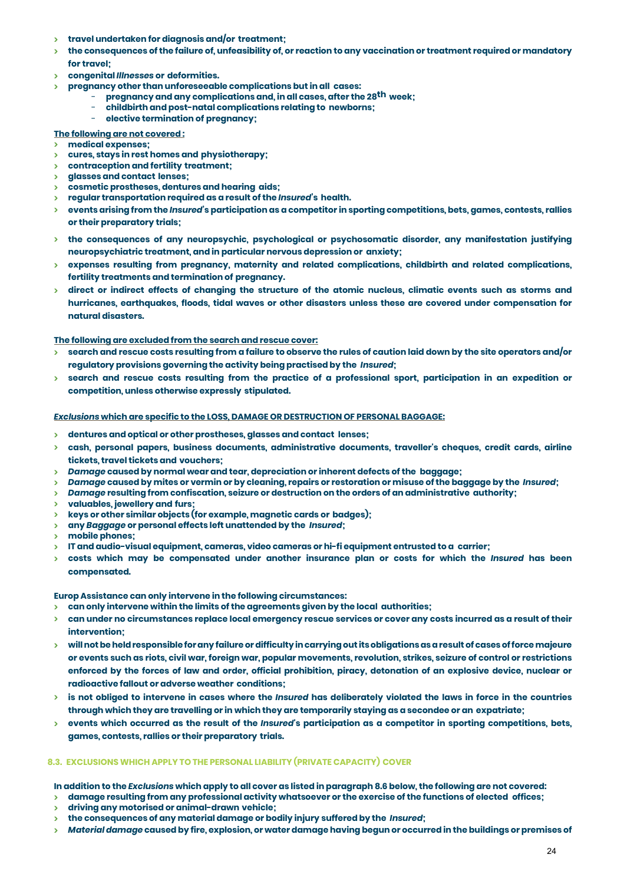- **> travel undertaken for diagnosis and/or treatment;**
- **> the consequences of the failure of, unfeasibility of, or reaction to any vaccination or treatment required or mandatory for travel;**
- **> congenital** *Illnesses* **or deformities.**
- **> pregnancy other than unforeseeable complications but in all cases:**
	- **pregnancy and any complications and, in all cases, after the 28th week;**
	- **childbirth and post-natal complications relating to newborns;**
	- **elective termination of pregnancy;**

#### **The following are not covered :**

- **> medical expenses;**
- **> cures, stays in rest homes and physiotherapy;**
- **> contraception and fertility treatment;**
- **> glasses and contact lenses;**
- **> cosmetic prostheses, dentures and hearing aids;**
- **> regular transportation required as a result of the** *Insured***'s health.**
- **> events arising from the** *Insured***'s participation as a competitor in sporting competitions, bets, games, contests, rallies or their preparatory trials;**
- **> the consequences of any neuropsychic, psychological or psychosomatic disorder, any manifestation justifying neuropsychiatric treatment, and in particular nervous depression or anxiety;**
- **> expenses resulting from pregnancy, maternity and related complications, childbirth and related complications, fertility treatments and termination of pregnancy.**
- **> direct or indirect effects of changing the structure of the atomic nucleus, climatic events such as storms and hurricanes, earthquakes, floods, tidal waves or other disasters unless these are covered under compensation for natural disasters.**

**The following are excluded from the search and rescue cover:**

- **> search and rescue costs resulting from a failure to observe the rules of caution laid down by the site operators and/or regulatory provisions governing the activity being practised by the** *Insured***;**
- **> search and rescue costs resulting from the practice of a professional sport, participation in an expedition or competition, unless otherwise expressly stipulated.**

*Exclusions* **which are specific to the LOSS, DAMAGE OR DESTRUCTION OF PERSONAL BAGGAGE:**

- **> dentures and optical or other prostheses, glasses and contact lenses;**
- **> cash, personal papers, business documents, administrative documents, traveller's cheques, credit cards, airline tickets, travel tickets and vouchers;**
- **>** *Damage* **caused by normal wear and tear, depreciation or inherent defects of the baggage;**
- **>** *Damage* **caused by mites or vermin or by cleaning, repairs or restoration or misuse of the baggage by the** *Insured***;**
- **>** *Damage* **resulting from confiscation, seizure or destruction on the orders of an administrative authority;**
- **> valuables, jewellery and furs;**
- **> keys or other similar objects (for example, magnetic cards or badges);**
- **> any** *Baggage* **or personal effects left unattended by the** *Insured***;**
- **> mobile phones;**
- **> IT and audio-visual equipment, cameras, video cameras or hi-fi equipment entrusted to a carrier;**
- **> costs which may be compensated under another insurance plan or costs for which the** *Insured* **has been compensated.**

#### **Europ Assistance can only intervene in the following circumstances:**

- **> can only intervene within the limits of the agreements given by the local authorities;**
- **> can under no circumstances replace local emergency rescue services or cover any costs incurred as a result of their intervention;**
- **> will not be held responsible for any failure or difficulty in carrying out its obligations as a result of cases of force majeure or events such as riots, civil war, foreign war, popular movements, revolution, strikes, seizure of control or restrictions enforced by the forces of law and order, official prohibition, piracy, detonation of an explosive device, nuclear or radioactive fallout or adverse weather conditions;**
- **> is not obliged to intervene in cases where the** *Insured* **has deliberately violated the laws in force in the countries through which they are travelling or in which they are temporarily staying as a secondee or an expatriate;**
- **> events which occurred as the result of the** *Insured***'s participation as a competitor in sporting competitions, bets, games, contests, rallies or their preparatory trials.**

#### **8.3. EXCLUSIONS WHICH APPLY TO THE PERSONAL LIABILITY (PRIVATE CAPACITY) COVER**

**In addition to the** *Exclusions* **which apply to all cover as listed in paragraph 8.6 below, the following are not covered:**

- **> damage resulting from any professional activity whatsoever or the exercise of the functions of elected offices;**
- **> driving any motorised or animal-drawn vehicle;**
- **> the consequences of any material damage or bodily injury suffered by the** *Insured***;**
- **>** *Material damage* **caused by fire, explosion, or water damage having begun or occurred in the buildings or premises of**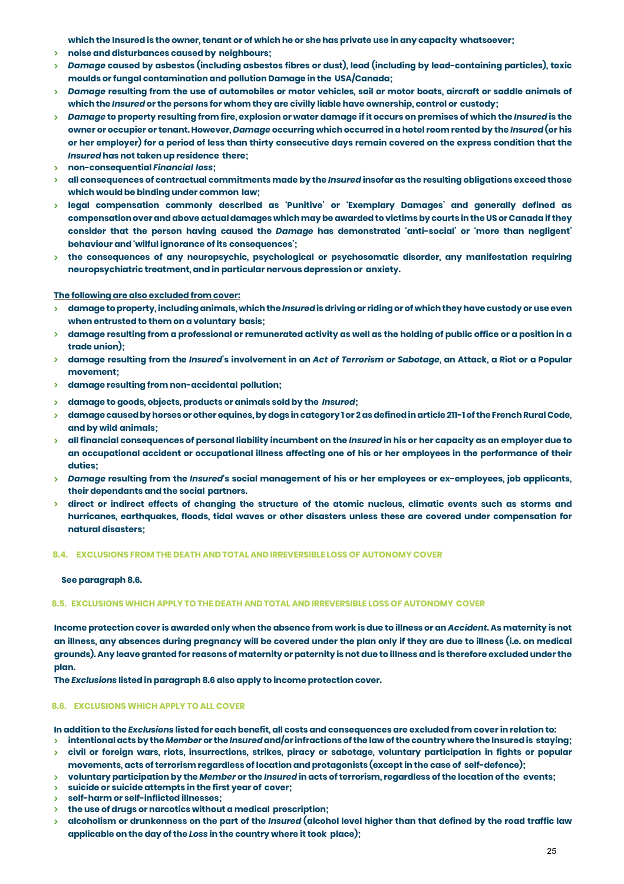**which the Insured is the owner, tenant or of which he or she has private use in any capacity whatsoever;**

- **> noise and disturbances caused by neighbours;**
- **>** *Damage* **caused by asbestos (including asbestos fibres or dust), lead (including by lead-containing particles), toxic moulds or fungal contamination and pollution Damage in the USA/Canada;**
- **>** *Damage* **resulting from the use of automobiles or motor vehicles, sail or motor boats, aircraft or saddle animals of which the** *Insured* **or the persons for whom they are civilly liable have ownership, control or custody;**
- **>** *Damage* **to property resulting from fire, explosion or water damage if it occurs on premises of which the** *Insured* **is the owner or occupier or tenant. However,** *Damage* **occurring which occurred in a hotel room rented by the** *Insured* **(or his or her employer) for a period of less than thirty consecutive days remain covered on the express condition that the**  *Insured* **has not taken up residence there;**
- **> non-consequential** *Financial loss***;**
- **> all consequences of contractual commitments made by the** *Insured* **insofar as the resulting obligations exceed those which would be binding under common law;**
- **> legal compensation commonly described as 'Punitive' or 'Exemplary Damages' and generally defined as compensation over and above actual damages which may be awarded to victims by courts in the US or Canada if they consider that the person having caused the** *Damage* **has demonstrated 'anti-social' or 'more than negligent' behaviour and 'wilful ignorance of its consequences';**
- **> the consequences of any neuropsychic, psychological or psychosomatic disorder, any manifestation requiring neuropsychiatric treatment, and in particular nervous depression or anxiety.**

#### **The following are also excluded from cover:**

- **> damage to property, including animals, which the** *Insured* **is driving or riding or of which they have custody or use even when entrusted to them on a voluntary basis;**
- **> damage resulting from a professional or remunerated activity as well as the holding of public office or a position in a trade union);**
- **> damage resulting from the** *Insured***'s involvement in an** *Act of Terrorism or Sabotage***, an Attack, a Riot or a Popular movement;**
- **> damage resulting from non-accidental pollution;**
- **> damage to goods, objects, products or animals sold by the** *Insured***;**
- **> damage caused by horses or other equines, by dogs in category 1 or 2 as defined in article 211-1 of the French Rural Code, and by wild animals;**
- **> all financial consequences of personal liability incumbent on the** *Insured* **in his or her capacity as an employer due to an occupational accident or occupational illness affecting one of his or her employees in the performance of their duties;**
- **>** *Damage* **resulting from the** *Insured***'s social management of his or her employees or ex-employees, job applicants, their dependants and the social partners.**
- **> direct or indirect effects of changing the structure of the atomic nucleus, climatic events such as storms and hurricanes, earthquakes, floods, tidal waves or other disasters unless these are covered under compensation for natural disasters;**

#### **8.4. EXCLUSIONS FROM THE DEATH AND TOTAL AND IRREVERSIBLE LOSS OF AUTONOMY COVER**

#### **See paragraph 8.6.**

#### **8.5. EXCLUSIONS WHICH APPLY TO THE DEATH AND TOTAL AND IRREVERSIBLE LOSS OF AUTONOMY COVER**

**Income protection cover is awarded only when the absence from work is due to illness or an** *Accident***. As maternity is not an illness, any absences during pregnancy will be covered under the plan only if they are due to illness (i.e. on medical grounds). Any leave granted for reasons of maternity or paternity is not due to illness and is therefore excluded under the plan.**

**The** *Exclusions* **listed in paragraph 8.6 also apply to income protection cover.**

#### **8.6. EXCLUSIONS WHICH APPLY TO ALL COVER**

**In addition to the** *Exclusions* **listed for each benefit, all costs and consequences are excluded from cover in relation to:**

- **> intentional acts by the** *Member* **or the** *Insured* **and/or infractions of the law of the country where the Insured is staying;**
- **> civil or foreign wars, riots, insurrections, strikes, piracy or sabotage, voluntary participation in fights or popular movements, acts of terrorism regardless of location and protagonists (except in the case of self-defence);**
- **> voluntary participation by the** *Member* **or the** *Insured* **in acts of terrorism, regardless of the location of the events;**
- **> suicide or suicide attempts in the first year of cover;**
- **> self-harm or self-inflicted illnesses;**
- **> the use of drugs or narcotics without a medical prescription;**
- **> alcoholism or drunkenness on the part of the** *Insured* **(alcohol level higher than that defined by the road traffic law applicable on the day of the** *Loss* **in the country where it took place);**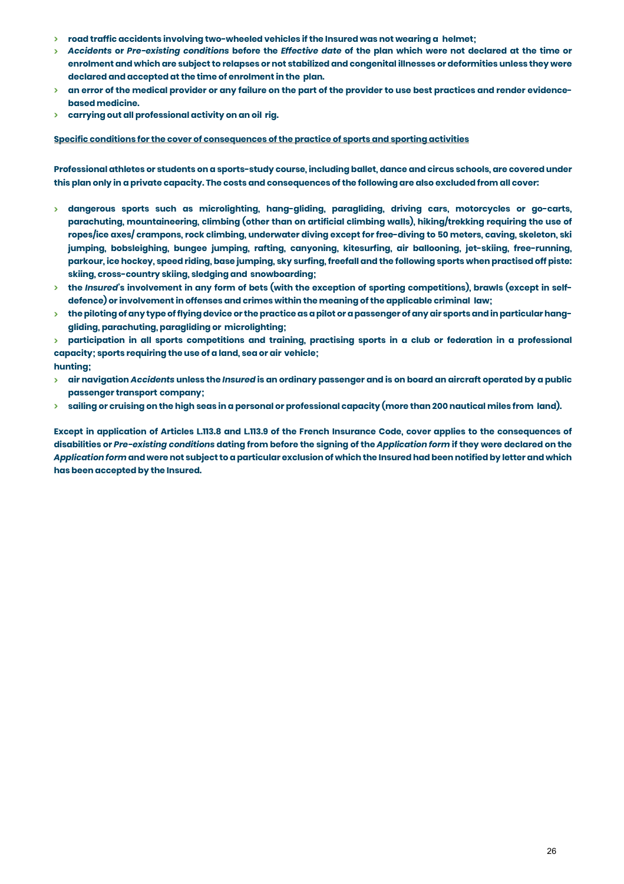- **> road traffic accidents involving two-wheeled vehicles if the Insured was not wearing a helmet;**
- **>** *Accidents* **or** *Pre-existing conditions* **before the** *Effective date* **of the plan which were not declared at the time or enrolment and which are subject to relapses or not stabilized and congenital illnesses or deformities unless they were declared and accepted at the time of enrolment in the plan.**
- **> an error of the medical provider or any failure on the part of the provider to use best practices and render evidencebased medicine.**
- **> carrying out all professional activity on an oil rig.**

**Specific conditions for the cover of consequences of the practice of sports and sporting activities**

**Professional athletes or students on a sports-study course, including ballet, dance and circus schools, are covered under this plan only in a private capacity. The costs and consequences of the following are also excluded from all cover:**

- **> dangerous sports such as microlighting, hang-gliding, paragliding, driving cars, motorcycles or go-carts, parachuting, mountaineering, climbing (other than on artificial climbing walls), hiking/trekking requiring the use of ropes/ice axes/ crampons, rock climbing, underwater diving except for free-diving to 50 meters, caving, skeleton, ski jumping, bobsleighing, bungee jumping, rafting, canyoning, kitesurfing, air ballooning, jet-skiing, free-running, parkour, ice hockey, speed riding, base jumping, sky surfing, freefall and the following sports when practised off piste: skiing, cross-country skiing, sledging and snowboarding;**
- **> the** *Insured***'s involvement in any form of bets (with the exception of sporting competitions), brawls (except in selfdefence) or involvement in offenses and crimes within the meaning of the applicable criminal law;**
- **> the piloting of any type of flying device or the practice as a pilot or a passenger of any air sports and in particular hanggliding, parachuting, paragliding or microlighting;**

**> participation in all sports competitions and training, practising sports in a club or federation in a professional capacity; sports requiring the use of a land, sea or air vehicle; hunting;**

- **> air navigation** *Accidents* **unless the** *Insured* **is an ordinary passenger and is on board an aircraft operated by a public passenger transport company;**
- **> sailing or cruising on the high seas in a personal or professional capacity (more than 200 nautical miles from land).**

**Except in application of Articles L.113.8 and L.113.9 of the French Insurance Code, cover applies to the consequences of disabilities or** *Pre-existing conditions* **dating from before the signing of the** *Application form* **if they were declared on the**  *Application form* **and were not subject to a particular exclusion of which the Insured had been notified by letter and which has been accepted by the Insured.**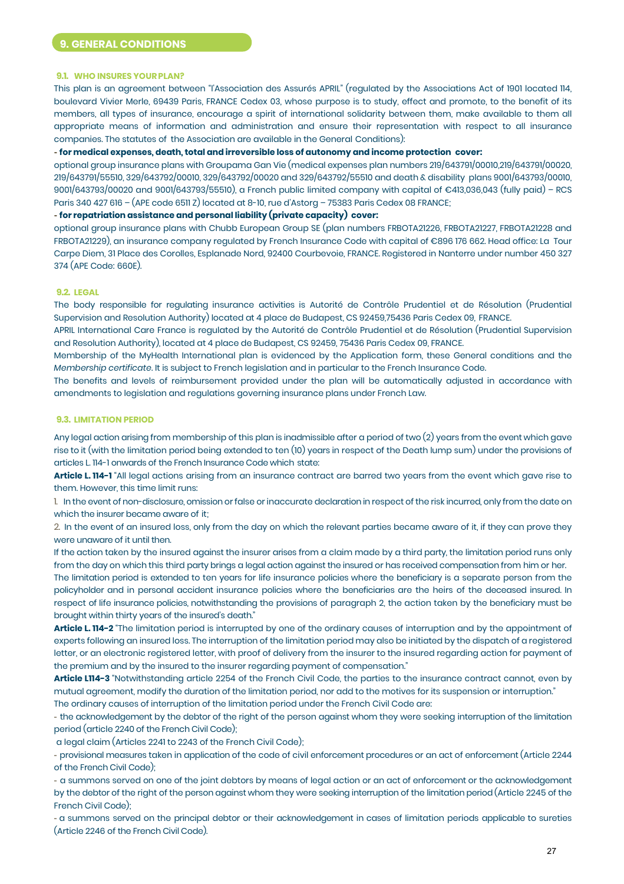#### **9.1. WHO INSURES YOURPLAN?**

This plan is an agreement between "l'Association des Assurés APRIL" (regulated by the Associations Act of 1901 located 114, boulevard Vivier Merle, 69439 Paris, FRANCE Cedex 03, whose purpose is to study, effect and promote, to the benefit of its members, all types of insurance, encourage a spirit of international solidarity between them, make available to them all appropriate means of information and administration and ensure their representation with respect to all insurance companies. The statutes of the Association are available in the General Conditions):

#### **- for medical expenses, death, total and irreversible loss of autonomy and income protection cover:**

optional group insurance plans with Groupama Gan Vie (medical expenses plan numbers 219/643791/00010,219/643791/00020, 219/643791/55510, 329/643792/00010, 329/643792/00020 and 329/643792/55510 and death & disability plans 9001/643793/00010, 9001/643793/00020 and 9001/643793/55510), a French public limited company with capital of €413,036,043 (fully paid) – RCS Paris 340 427 616 – (APE code 6511 Z) located at 8-10, rue d'Astorg – 75383 Paris Cedex 08 FRANCE;

#### **- for repatriation assistance and personal liability (private capacity) cover:**

optional group insurance plans with Chubb European Group SE (plan numbers FRBOTA21226, FRBOTA21227, FRBOTA21228 and FRBOTA21229), an insurance company regulated by French Insurance Code with capital of €896 176 662. Head office: La Tour Carpe Diem, 31 Place des Corolles, Esplanade Nord, 92400 Courbevoie, FRANCE. Registered in Nanterre under number 450 327 374 (APE Code: 660E).

#### **9.2. LEGAL**

The body responsible for regulating insurance activities is Autorité de Contrôle Prudentiel et de Résolution (Prudential Supervision and Resolution Authority) located at 4 place de Budapest, CS 92459,75436 Paris Cedex 09, FRANCE.

APRIL International Care France is regulated by the Autorité de Contrôle Prudentiel et de Résolution (Prudential Supervision and Resolution Authority), located at 4 place de Budapest, CS 92459, 75436 Paris Cedex 09, FRANCE.

Membership of the MyHealth International plan is evidenced by the Application form, these General conditions and the *Membership certificate*. It is subject to French legislation and in particular to the French Insurance Code.

The benefits and levels of reimbursement provided under the plan will be automatically adjusted in accordance with amendments to legislation and regulations governing insurance plans under French Law.

#### **9.3. LIMITATION PERIOD**

Any legal action arising from membership of this plan is inadmissible after a period of two (2) years from the event which gave rise to it (with the limitation period being extended to ten (10) years in respect of the Death lump sum) under the provisions of articles L. 114-1 onwards of the French Insurance Code which state:

**Article L. 114-1** "All legal actions arising from an insurance contract are barred two years from the event which gave rise to them. However, this time limit runs:

1. In the event of non-disclosure, omission orfalse or inaccurate declaration in respect of the risk incurred, only from the date on which the insurer became aware of it:

2. In the event of an insured loss, only from the day on which the relevant parties became aware of it, if they can prove they were unaware of it until then.

If the action taken by the insured against the insurer arises from a claim made by a third party, the limitation period runs only from the day on which this third party brings a legal action against the insured or has received compensation from him or her.

The limitation period is extended to ten years for life insurance policies where the beneficiary is a separate person from the policyholder and in personal accident insurance policies where the beneficiaries are the heirs of the deceased insured. In respect of life insurance policies, notwithstanding the provisions of paragraph 2, the action taken by the beneficiary must be brought within thirty years of the insured's death."

**Article L. 114-2** "The limitation period is interrupted by one of the ordinary causes of interruption and by the appointment of experts following an insured loss. The interruption of the limitation period may also be initiated by the dispatch of a registered letter, or an electronic registered letter, with proof of delivery from the insurer to the insured regarding action for payment of the premium and by the insured to the insurer regarding payment of compensation."

**Article L114-3** "Notwithstanding article 2254 of the French Civil Code, the parties to the insurance contract cannot, even by mutual agreement, modify the duration of the limitation period, nor add to the motives for its suspension or interruption."

The ordinary causes of interruption of the limitation period under the French Civil Code are:

- the acknowledgement by the debtor of the right of the person against whom they were seeking interruption of the limitation period (article 2240 of the French Civil Code);

a legal claim (Articles 2241 to 2243 of the French Civil Code);

- provisional measures taken in application of the code of civil enforcement procedures or an act of enforcement (Article 2244 of the French Civil Code);

- a summons served on one of the joint debtors by means of legal action or an act of enforcement or the acknowledgement by the debtor of the right of the person against whom they were seeking interruption of the limitation period (Article 2245 of the French Civil Code);

- a summons served on the principal debtor or their acknowledgement in cases of limitation periods applicable to sureties (Article 2246 of the French Civil Code).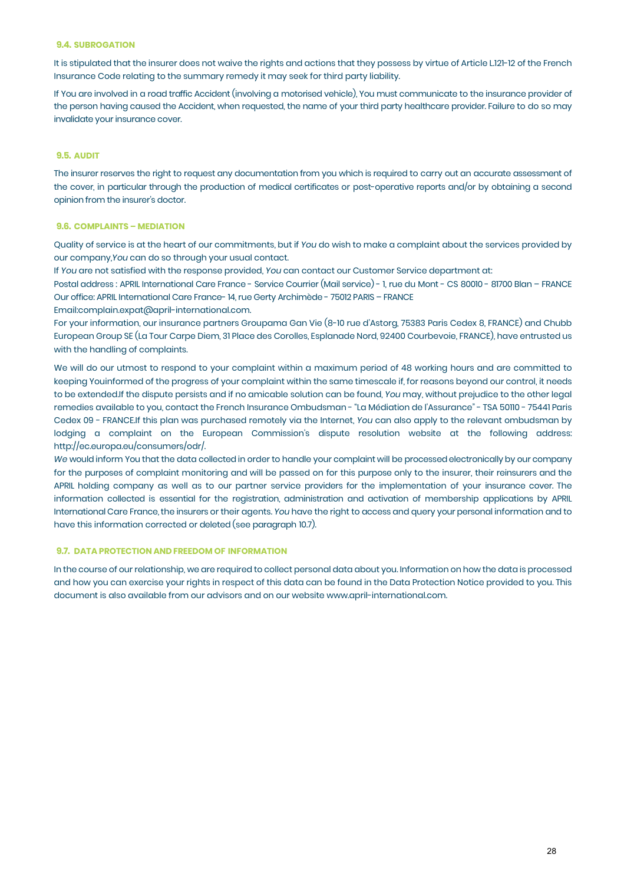#### **9.4. SUBROGATION**

It is stipulated that the insurer does not waive the rights and actions that they possess by virtue of Article L.121-12 of the French Insurance Code relating to the summary remedy it may seek for third party liability.

If You are involved in a road traffic Accident (involving a motorised vehicle), You must communicate to the insurance provider of the person having caused the Accident, when requested, the name of your third party healthcare provider. Failure to do so may invalidate your insurance cover.

#### **9.5. AUDIT**

The insurer reserves the right to request any documentation from you which is required to carry out an accurate assessment of the cover, in particular through the production of medical certificates or post-operative reports and/or by obtaining a second opinion from the insurer's doctor.

#### **9.6. COMPLAINTS – MEDIATION**

Quality of service is at the heart of our commitments, but if *You* do wish to make a complaint about the services provided by our company,*You* can do so through your usual contact.

If *You* are not satisfied with the response provided, *You* can contact our Customer Service department at:

Postal address : APRIL International Care France - Service Courrier (Mail service) - 1, rue du Mont - CS 80010 - 81700 Blan – FRANCE Our office: APRIL International Care France- 14, rue Gerty Archimède - 75012 PARIS – FRANCE

[Email:complain.expat@april-international.com.](mailto:complain.expat@april-international.com)

For your information, our insurance partners Groupama Gan Vie (8-10 rue d'Astorg, 75383 Paris Cedex 8, FRANCE) and Chubb European Group SE (La Tour Carpe Diem, 31 Place des Corolles, Esplanade Nord, 92400 Courbevoie, FRANCE), have entrusted us with the handling of complaints.

We will do our utmost to respond to your complaint within a maximum period of 48 working hours and are committed to keeping Youinformed of the progress of your complaint within the same timescale if, for reasons beyond our control, it needs to be extended.If the dispute persists and if no amicable solution can be found, *You* may, without prejudice to the other legal remedies available to you, contact the French Insurance Ombudsman - "La Médiation de l'Assurance" - TSA 50110 - 75441 Paris Cedex 09 - FRANCE.If this plan was purchased remotely via the Internet, *You* can also apply to the relevant ombudsman by lodging a complaint on the European Commission's dispute resolution website at the following address: [http://ec.europa.eu/consumers/odr/.](http://ec.europa.eu/consumers/odr/)

*We* would inform You that the data collected in order to handle your complaint will be processed electronically by our company for the purposes of complaint monitoring and will be passed on for this purpose only to the insurer, their reinsurers and the APRIL holding company as well as to our partner service providers for the implementation of your insurance cover. The information collected is essential for the registration, administration and activation of membership applications by APRIL International Care France, the insurers or their agents. *You* have the right to access and query your personal information and to have this information corrected or deleted (see paragraph 10.7).

#### **9.7. DATA PROTECTION AND FREEDOM OF INFORMATION**

In the course of our relationship, we are required to collect personal data about you. Information on how the data is processed and how you can exercise your rights in respect of this data can be found in the Data Protection Notice provided to you. This document is also available from our advisors and on our websit[e www.april-international.com.](http://www.april-international.com/)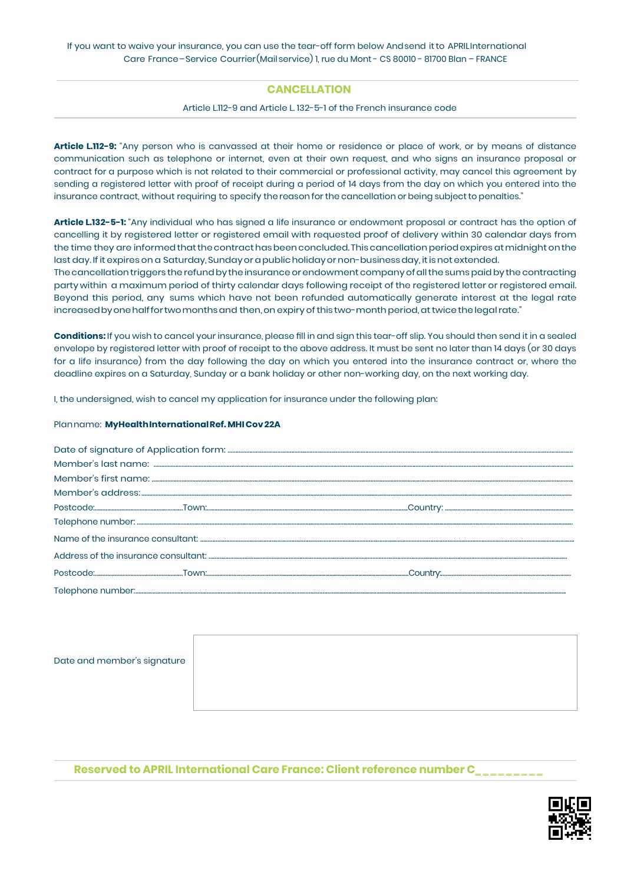If you want to waive your insurance, you can use the tear-off form below Andsend itto APRILInternational Care France–Service Courrier(Mailservice) 1, rue du Mont - CS 80010 - 81700 Blan – FRANCE

#### **CANCELLATION**

#### Article L.112-9 and Article L. 132-5-1 of the French insurance code

**Article L.112-9:** "Any person who is canvassed at their home or residence or place of work, or by means of distance communication such as telephone or internet, even at their own request, and who signs an insurance proposal or contract for a purpose which is not related to their commercial or professional activity, may cancel this agreement by sending a registered letter with proof of receipt during a period of 14 days from the day on which you entered into the insurance contract, without requiring to specify the reason for the cancellation orbeing subjectto penalties."

**Article L.132-5-1:** "Any individual who has signed a life insurance or endowment proposal or contract has the option of cancelling it by registered letter or registered email with requested proof of delivery within 30 calendar days from the time they are informed that the contract has been concluded. This cancellation period expires at midnight on the last day. If it expires on a Saturday, Sunday or a public holiday or non-business day, it is not extended. The cancellation triggers the refund by the insurance or endowment company of all the sums paid by the contracting

party within a maximum period of thirty calendar days following receipt of the registered letter or registered email. Beyond this period, any sums which have not been refunded automatically generate interest at the legal rate increased by one half for two months and then, on expiry of this two-month period, at twice the legal rate."

**Conditions:** If you wish to cancel your insurance, please fill in and sign this tear-off slip. You should then send it in a sealed envelope by registered letter with proof of receipt to the above address. It must be sent no later than 14 days (or 30 days for a life insurance) from the day following the day on which you entered into the insurance contract or, where the deadline expires on a Saturday, Sunday or a bank holiday or other non-working day, on the next working day.

I, the undersigned, wish to cancel my application for insurance under the following plan:

#### Planname: **MyHealthInternationalRef. MHICov22A**

| Date and member's signature |  |
|-----------------------------|--|
|                             |  |

# **Reserved to APRIL International Care France: Client reference number C‗ ‗ ‗ ‗ ‗ ‗ ‗ ‗ ‗**

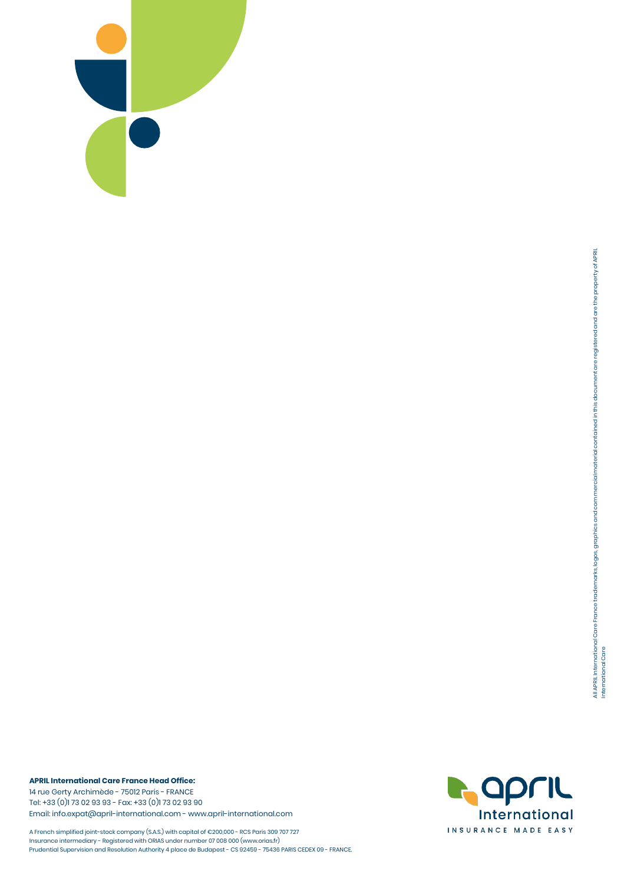

**APRIL International Care France Head Office:**

14 rue Gerty Archimède - 75012 Paris - FRANCE Tel: +33 (0)1 73 02 93 93 - Fax: +33 (0)1 73 02 93 90 Email: info.expat@april -international.com - www.april -international.com

A French simplified joint-stock company (S.A.S.) with capital of €200,000 - RCS Paris 309 707 727 Insurance intermediary - Registered with ORIAS under number 07 008 000 (www.orias.fr) Prudential Supervision and Resolution Authority 4 place de Budapest - CS 92459 - 75436 PARIS CEDEX 09 - FRANCE.

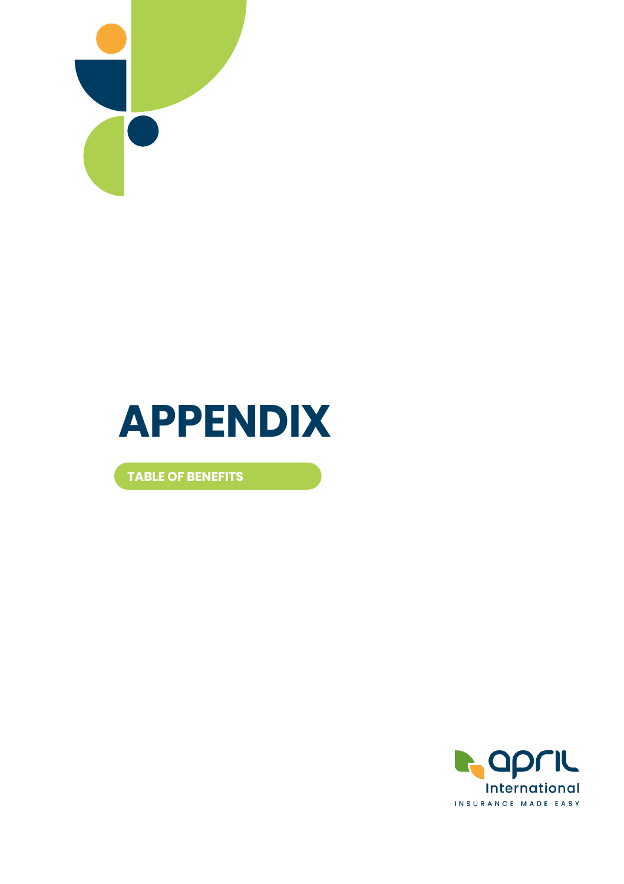



**TABLE OF BENEFITS**